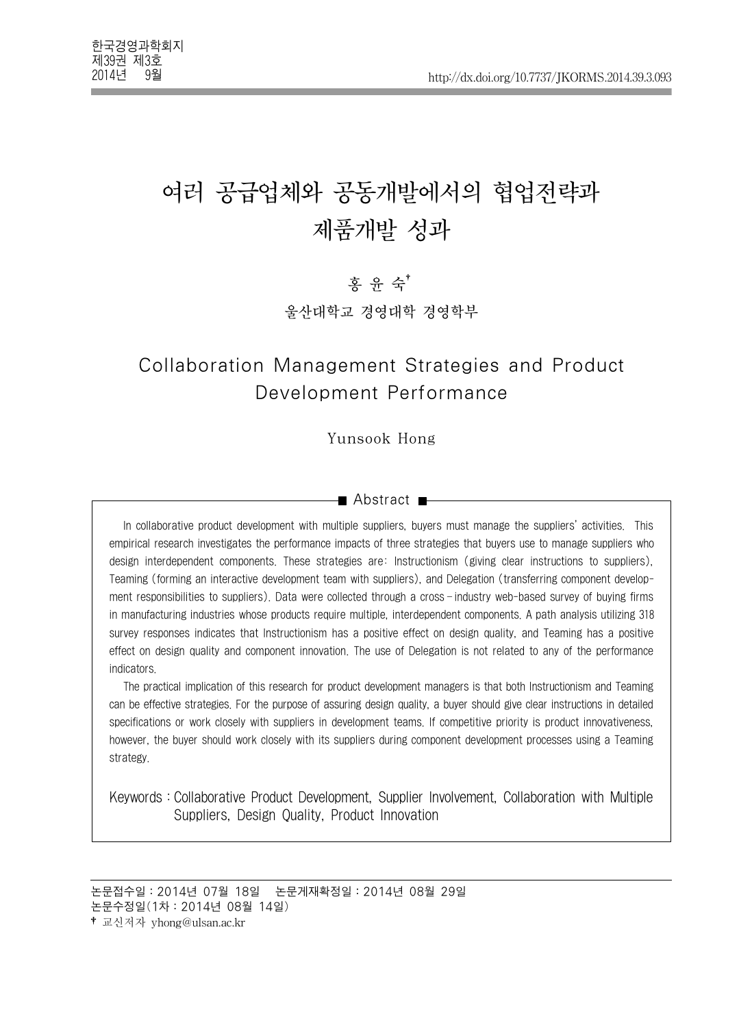# 여러 공급업체와 공동개발에서의 협업전략과 제품개발 성과

홍 윤 숙†

울산대학교 경영대학 경영학부

## Collaboration Management Strategies and Product Development Performance

Yunsook Hong

#### ■ Abstract ■

In collaborative product development with multiple suppliers, buyers must manage the suppliers' activities. This empirical research investigates the performance impacts of three strategies that buyers use to manage suppliers who design interdependent components. These strategies are: Instructionism (giving clear instructions to suppliers), Teaming (forming an interactive development team with suppliers), and Delegation (transferring component development responsibilities to suppliers). Data were collected through a cross-industry web-based survey of buying firms in manufacturing industries whose products require multiple, interdependent components. A path analysis utilizing 318 survey responses indicates that Instructionism has a positive effect on design quality, and Teaming has a positive effect on design quality and component innovation. The use of Delegation is not related to any of the performance indicators.

The practical implication of this research for product development managers is that both Instructionism and Teaming can be effective strategies. For the purpose of assuring design quality, a buyer should give clear instructions in detailed specifications or work closely with suppliers in development teams. If competitive priority is product innovativeness, however, the buyer should work closely with its suppliers during component development processes using a Teaming strategy.

Keywords:Collaborative Product Development, Supplier Involvement, Collaboration with Multiple Suppliers, Design Quality, Product Innovation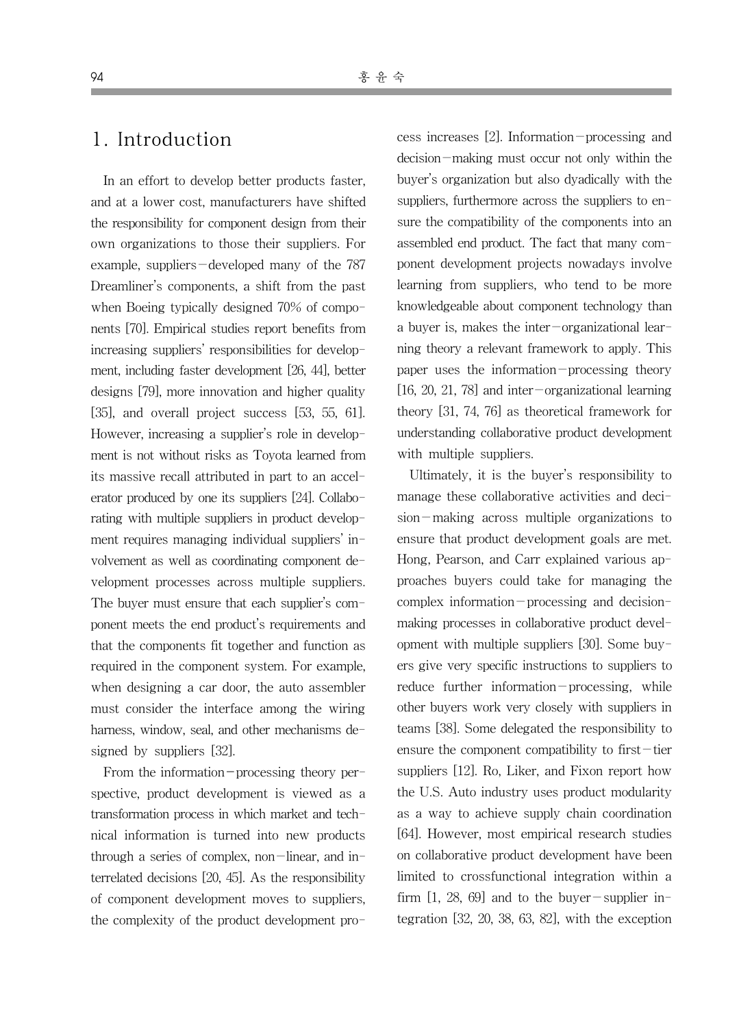### 1. Introduction

In an effort to develop better products faster, and at a lower cost, manufacturers have shifted the responsibility for component design from their own organizations to those their suppliers. For example, suppliers-developed many of the 787 Dreamliner's components, a shift from the past when Boeing typically designed 70% of components [70]. Empirical studies report benefits from increasing suppliers' responsibilities for development, including faster development [26, 44], better designs [79], more innovation and higher quality [35], and overall project success [53, 55, 61]. However, increasing a supplier's role in development is not without risks as Toyota learned from its massive recall attributed in part to an accelerator produced by one its suppliers [24]. Collaborating with multiple suppliers in product development requires managing individual suppliers' involvement as well as coordinating component development processes across multiple suppliers. The buyer must ensure that each supplier's component meets the end product's requirements and that the components fit together and function as required in the component system. For example, when designing a car door, the auto assembler must consider the interface among the wiring harness, window, seal, and other mechanisms designed by suppliers [32].

From the information-processing theory perspective, product development is viewed as a transformation process in which market and technical information is turned into new products through a series of complex, non-linear, and interrelated decisions [20, 45]. As the responsibility of component development moves to suppliers, the complexity of the product development process increases [2]. Information-processing and decision-making must occur not only within the buyer's organization but also dyadically with the suppliers, furthermore across the suppliers to ensure the compatibility of the components into an assembled end product. The fact that many component development projects nowadays involve learning from suppliers, who tend to be more knowledgeable about component technology than a buyer is, makes the inter-organizational learning theory a relevant framework to apply. This paper uses the information-processing theory [16, 20, 21, 78] and inter-organizational learning theory [31, 74, 76] as theoretical framework for understanding collaborative product development with multiple suppliers.

Ultimately, it is the buyer's responsibility to manage these collaborative activities and decision-making across multiple organizations to ensure that product development goals are met. Hong, Pearson, and Carr explained various approaches buyers could take for managing the complex information-processing and decisionmaking processes in collaborative product development with multiple suppliers [30]. Some buyers give very specific instructions to suppliers to reduce further information-processing, while other buyers work very closely with suppliers in teams [38]. Some delegated the responsibility to ensure the component compatibility to first-tier suppliers [12]. Ro, Liker, and Fixon report how the U.S. Auto industry uses product modularity as a way to achieve supply chain coordination [64]. However, most empirical research studies on collaborative product development have been limited to crossfunctional integration within a firm  $[1, 28, 69]$  and to the buyer-supplier integration [32, 20, 38, 63, 82], with the exception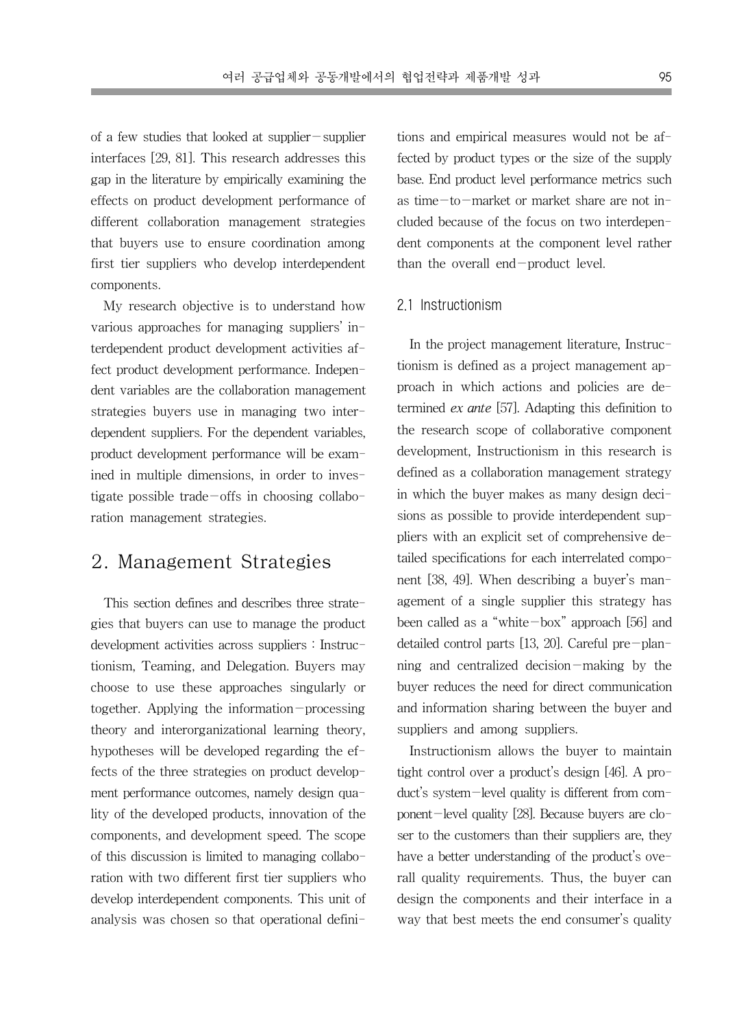of a few studies that looked at supplier-supplier interfaces [29, 81]. This research addresses this gap in the literature by empirically examining the effects on product development performance of different collaboration management strategies that buyers use to ensure coordination among first tier suppliers who develop interdependent components.

My research objective is to understand how various approaches for managing suppliers' interdependent product development activities affect product development performance. Independent variables are the collaboration management strategies buyers use in managing two interdependent suppliers. For the dependent variables, product development performance will be examined in multiple dimensions, in order to investigate possible trade-offs in choosing collaboration management strategies.

### 2. Management Strategies

This section defines and describes three strategies that buyers can use to manage the product development activities across suppliers : Instructionism, Teaming, and Delegation. Buyers may choose to use these approaches singularly or together. Applying the information-processing theory and interorganizational learning theory, hypotheses will be developed regarding the effects of the three strategies on product development performance outcomes, namely design quality of the developed products, innovation of the components, and development speed. The scope of this discussion is limited to managing collaboration with two different first tier suppliers who develop interdependent components. This unit of analysis was chosen so that operational defini-

tions and empirical measures would not be affected by product types or the size of the supply base. End product level performance metrics such as time-to-market or market share are not included because of the focus on two interdependent components at the component level rather than the overall end-product level.

#### 2.1 Instructionism

In the project management literature, Instructionism is defined as a project management approach in which actions and policies are determined ex ante [57]. Adapting this definition to the research scope of collaborative component development, Instructionism in this research is defined as a collaboration management strategy in which the buyer makes as many design decisions as possible to provide interdependent suppliers with an explicit set of comprehensive detailed specifications for each interrelated component [38, 49]. When describing a buyer's management of a single supplier this strategy has been called as a "white-box" approach [56] and detailed control parts [13, 20]. Careful pre-planning and centralized decision-making by the buyer reduces the need for direct communication and information sharing between the buyer and suppliers and among suppliers.

Instructionism allows the buyer to maintain tight control over a product's design [46]. A product's system-level quality is different from component-level quality [28]. Because buyers are closer to the customers than their suppliers are, they have a better understanding of the product's overall quality requirements. Thus, the buyer can design the components and their interface in a way that best meets the end consumer's quality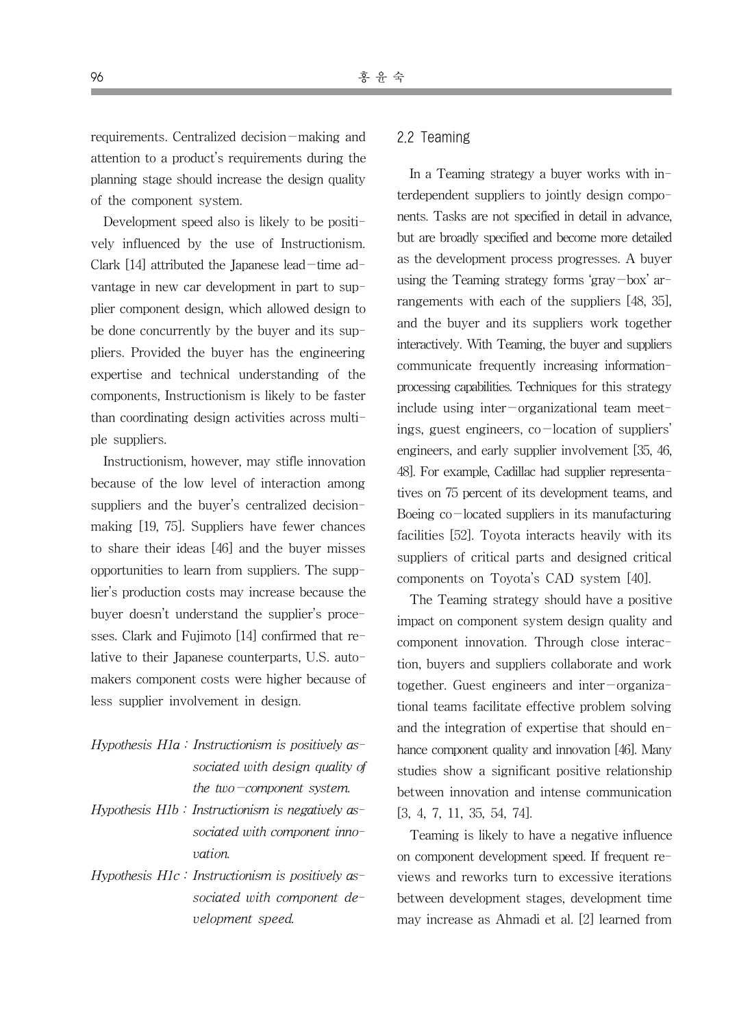requirements. Centralized decision-making and attention to a product's requirements during the planning stage should increase the design quality of the component system.

Development speed also is likely to be positively influenced by the use of Instructionism. Clark  $[14]$  attributed the Japanese lead-time advantage in new car development in part to supplier component design, which allowed design to be done concurrently by the buyer and its suppliers. Provided the buyer has the engineering expertise and technical understanding of the components, Instructionism is likely to be faster than coordinating design activities across multiple suppliers.

Instructionism, however, may stifle innovation because of the low level of interaction among suppliers and the buyer's centralized decisionmaking [19, 75]. Suppliers have fewer chances to share their ideas [46] and the buyer misses opportunities to learn from suppliers. The supplier's production costs may increase because the buyer doesn't understand the supplier's processes. Clark and Fujimoto [14] confirmed that relative to their Japanese counterparts, U.S. automakers component costs were higher because of less supplier involvement in design.

- Hypothesis  $H1a$ : Instructionism is positively associated with design quality of the two-component system.
- Hypothesis  $H1b$  : Instructionism is negatively associated with component innovation.
- Hypothesis  $H1c$ : Instructionism is positively associated with component development speed.

#### 2.2 Teaming

In a Teaming strategy a buyer works with interdependent suppliers to jointly design components. Tasks are not specified in detail in advance, but are broadly specified and become more detailed as the development process progresses. A buyer using the Teaming strategy forms 'gray-box' arrangements with each of the suppliers [48, 35], and the buyer and its suppliers work together interactively. With Teaming, the buyer and suppliers communicate frequently increasing informationprocessing capabilities. Techniques for this strategy include using inter-organizational team meetings, guest engineers,  $co$ -location of suppliers' engineers, and early supplier involvement [35, 46, 48]. For example, Cadillac had supplier representatives on 75 percent of its development teams, and Boeing  $co$ -located suppliers in its manufacturing facilities [52]. Toyota interacts heavily with its suppliers of critical parts and designed critical components on Toyota's CAD system [40].

The Teaming strategy should have a positive impact on component system design quality and component innovation. Through close interaction, buyers and suppliers collaborate and work together. Guest engineers and inter-organizational teams facilitate effective problem solving and the integration of expertise that should enhance component quality and innovation [46]. Many studies show a significant positive relationship between innovation and intense communication [3, 4, 7, 11, 35, 54, 74].

Teaming is likely to have a negative influence on component development speed. If frequent reviews and reworks turn to excessive iterations between development stages, development time may increase as Ahmadi et al. [2] learned from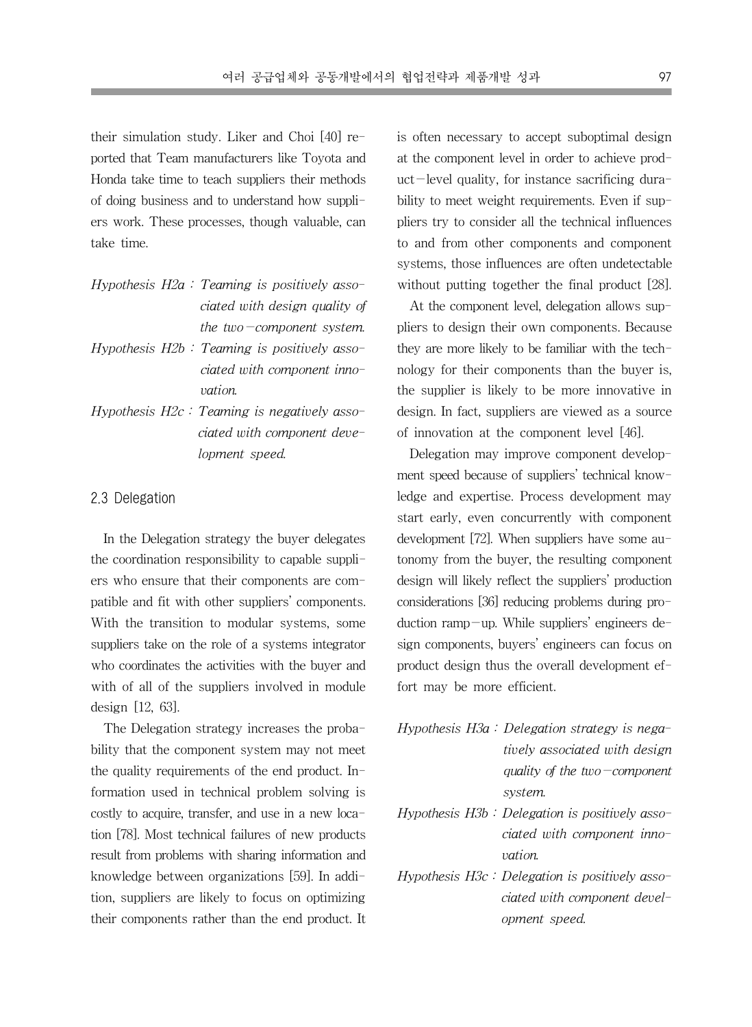their simulation study. Liker and Choi [40] reported that Team manufacturers like Toyota and Honda take time to teach suppliers their methods of doing business and to understand how suppliers work. These processes, though valuable, can take time.

- Hypothesis H2a : Teaming is positively associated with design quality of the two-component system. Hypothesis  $H2b$ : Teaming is positively asso-
- ciated with component innovation.
- Hypothesis  $H2c$ : Teaming is negatively associated with component development speed.

#### 2.3 Delegation

In the Delegation strategy the buyer delegates the coordination responsibility to capable suppliers who ensure that their components are compatible and fit with other suppliers' components. With the transition to modular systems, some suppliers take on the role of a systems integrator who coordinates the activities with the buyer and with of all of the suppliers involved in module design [12, 63].

The Delegation strategy increases the probability that the component system may not meet the quality requirements of the end product. Information used in technical problem solving is costly to acquire, transfer, and use in a new location [78]. Most technical failures of new products result from problems with sharing information and knowledge between organizations [59]. In addition, suppliers are likely to focus on optimizing their components rather than the end product. It is often necessary to accept suboptimal design at the component level in order to achieve prod $uct$ -level quality, for instance sacrificing durability to meet weight requirements. Even if suppliers try to consider all the technical influences to and from other components and component systems, those influences are often undetectable without putting together the final product [28].

At the component level, delegation allows suppliers to design their own components. Because they are more likely to be familiar with the technology for their components than the buyer is, the supplier is likely to be more innovative in design. In fact, suppliers are viewed as a source of innovation at the component level [46].

Delegation may improve component development speed because of suppliers' technical knowledge and expertise. Process development may start early, even concurrently with component development [72]. When suppliers have some autonomy from the buyer, the resulting component design will likely reflect the suppliers' production considerations [36] reducing problems during production ramp-up. While suppliers' engineers design components, buyers' engineers can focus on product design thus the overall development effort may be more efficient.

- Hypothesis H3a : Delegation strategy is negatively associated with design quality of the two-component system.
- Hypothesis H3b : Delegation is positively associated with component innovation.
- Hypothesis H3c : Delegation is positively associated with component development speed.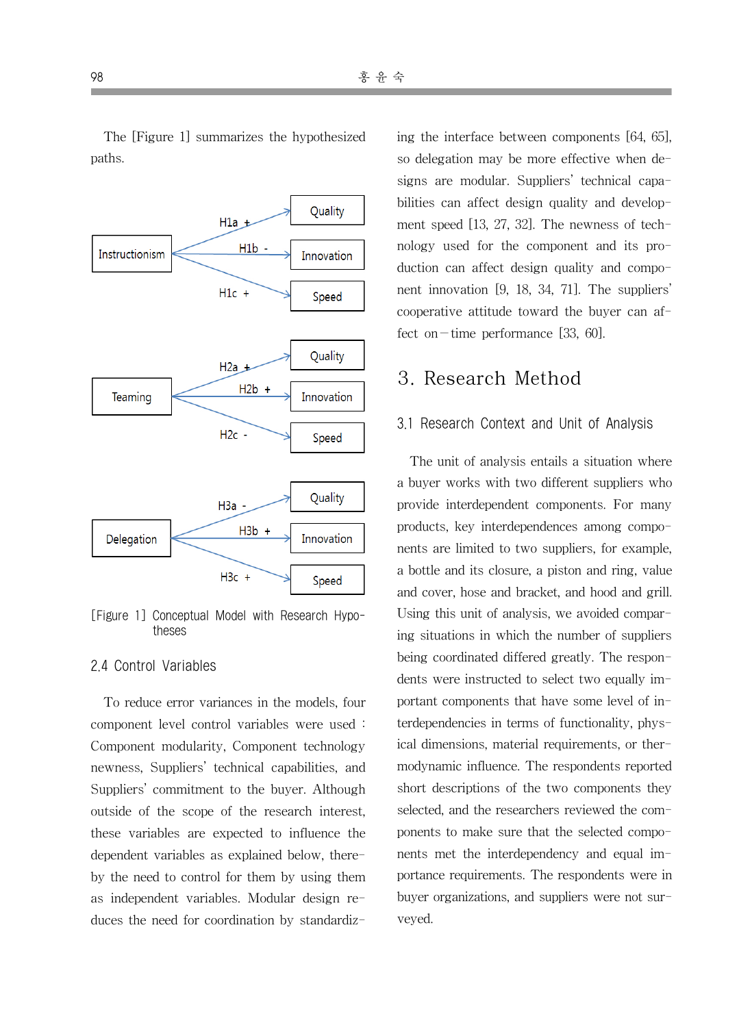

[Figure 1] Conceptual Model with Research Hypotheses

#### 2.4 Control Variables

To reduce error variances in the models, four component level control variables were used : Component modularity, Component technology newness, Suppliers' technical capabilities, and Suppliers' commitment to the buyer. Although outside of the scope of the research interest, these variables are expected to influence the dependent variables as explained below, thereby the need to control for them by using them as independent variables. Modular design reduces the need for coordination by standardizing the interface between components [64, 65], so delegation may be more effective when designs are modular. Suppliers' technical capabilities can affect design quality and development speed [13, 27, 32]. The newness of technology used for the component and its production can affect design quality and component innovation [9, 18, 34, 71]. The suppliers' cooperative attitude toward the buyer can affect on-time performance  $[33, 60]$ .

### 3. Research Method

#### 3.1 Research Context and Unit of Analysis

The unit of analysis entails a situation where a buyer works with two different suppliers who provide interdependent components. For many products, key interdependences among components are limited to two suppliers, for example, a bottle and its closure, a piston and ring, value and cover, hose and bracket, and hood and grill. Using this unit of analysis, we avoided comparing situations in which the number of suppliers being coordinated differed greatly. The respondents were instructed to select two equally important components that have some level of interdependencies in terms of functionality, physical dimensions, material requirements, or thermodynamic influence. The respondents reported short descriptions of the two components they selected, and the researchers reviewed the components to make sure that the selected components met the interdependency and equal importance requirements. The respondents were in buyer organizations, and suppliers were not surveyed.

The [Figure 1] summarizes the hypothesized paths.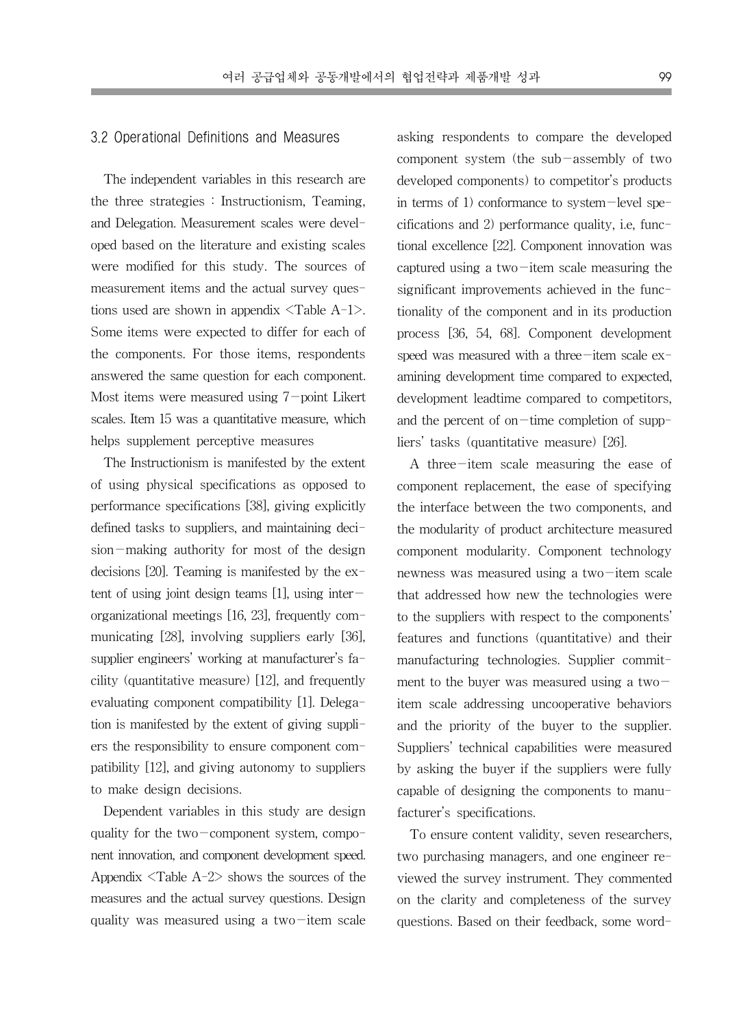#### 3.2 Operational Definitions and Measures

The independent variables in this research are the three strategies : Instructionism, Teaming, and Delegation. Measurement scales were developed based on the literature and existing scales were modified for this study. The sources of measurement items and the actual survey questions used are shown in appendix  $\langle \text{Table A-1} \rangle$ . Some items were expected to differ for each of the components. For those items, respondents answered the same question for each component. Most items were measured using 7-point Likert scales. Item 15 was a quantitative measure, which helps supplement perceptive measures

The Instructionism is manifested by the extent of using physical specifications as opposed to performance specifications [38], giving explicitly defined tasks to suppliers, and maintaining decision-making authority for most of the design decisions [20]. Teaming is manifested by the extent of using joint design teams [1], using interorganizational meetings [16, 23], frequently communicating [28], involving suppliers early [36], supplier engineers' working at manufacturer's facility (quantitative measure) [12], and frequently evaluating component compatibility [1]. Delegation is manifested by the extent of giving suppliers the responsibility to ensure component compatibility [12], and giving autonomy to suppliers to make design decisions.

Dependent variables in this study are design quality for the two-component system, component innovation, and component development speed. Appendix  $\langle$ Table A-2 $\rangle$  shows the sources of the measures and the actual survey questions. Design quality was measured using a two-item scale asking respondents to compare the developed component system (the sub-assembly of two developed components) to competitor's products in terms of 1) conformance to system-level specifications and 2) performance quality, i.e, functional excellence [22]. Component innovation was captured using a two $-i$ tem scale measuring the significant improvements achieved in the functionality of the component and in its production process [36, 54, 68]. Component development speed was measured with a three-item scale  $ex$ amining development time compared to expected, development leadtime compared to competitors, and the percent of on-time completion of suppliers' tasks (quantitative measure) [26].

A three-item scale measuring the ease of component replacement, the ease of specifying the interface between the two components, and the modularity of product architecture measured component modularity. Component technology newness was measured using a two-item scale that addressed how new the technologies were to the suppliers with respect to the components' features and functions (quantitative) and their manufacturing technologies. Supplier commitment to the buyer was measured using a twoitem scale addressing uncooperative behaviors and the priority of the buyer to the supplier. Suppliers' technical capabilities were measured by asking the buyer if the suppliers were fully capable of designing the components to manufacturer's specifications.

To ensure content validity, seven researchers, two purchasing managers, and one engineer reviewed the survey instrument. They commented on the clarity and completeness of the survey questions. Based on their feedback, some word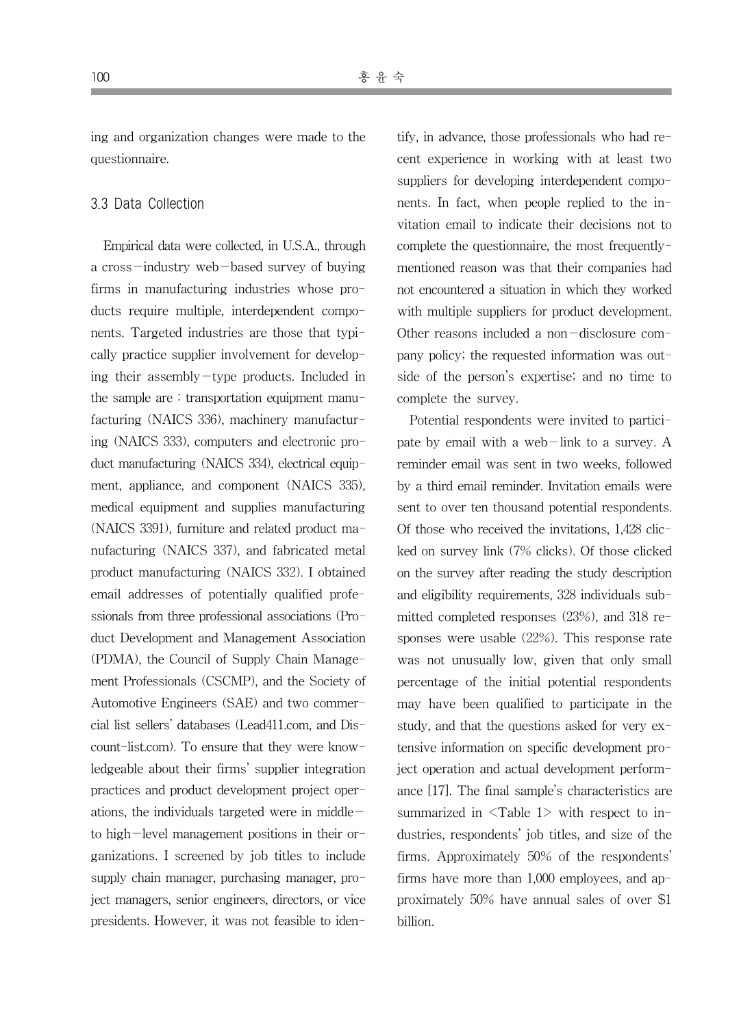ing and organization changes were made to the questionnaire.

#### 3.3 Data Collection

Empirical data were collected, in U.S.A., through a cross-industry web-based survey of buying firms in manufacturing industries whose products require multiple, interdependent components. Targeted industries are those that typically practice supplier involvement for developing their assembly-type products. Included in the sample are : transportation equipment manufacturing (NAICS 336), machinery manufacturing (NAICS 333), computers and electronic product manufacturing (NAICS 334), electrical equipment, appliance, and component (NAICS 335), medical equipment and supplies manufacturing (NAICS 3391), furniture and related product manufacturing (NAICS 337), and fabricated metal product manufacturing (NAICS 332). I obtained email addresses of potentially qualified professionals from three professional associations (Product Development and Management Association (PDMA), the Council of Supply Chain Management Professionals (CSCMP), and the Society of Automotive Engineers (SAE) and two commercial list sellers' databases (Lead411.com, and Discount-list.com). To ensure that they were knowledgeable about their firms' supplier integration practices and product development project operations, the individuals targeted were in middle $$ to high-level management positions in their organizations. I screened by job titles to include supply chain manager, purchasing manager, project managers, senior engineers, directors, or vice presidents. However, it was not feasible to identify, in advance, those professionals who had recent experience in working with at least two suppliers for developing interdependent components. In fact, when people replied to the invitation email to indicate their decisions not to complete the questionnaire, the most frequentlymentioned reason was that their companies had not encountered a situation in which they worked with multiple suppliers for product development. Other reasons included a non-disclosure company policy; the requested information was outside of the person's expertise; and no time to complete the survey.

Potential respondents were invited to participate by email with a web-link to a survey. A reminder email was sent in two weeks, followed by a third email reminder. Invitation emails were sent to over ten thousand potential respondents. Of those who received the invitations, 1,428 clicked on survey link (7% clicks). Of those clicked on the survey after reading the study description and eligibility requirements, 328 individuals submitted completed responses (23%), and 318 responses were usable (22%). This response rate was not unusually low, given that only small percentage of the initial potential respondents may have been qualified to participate in the study, and that the questions asked for very extensive information on specific development project operation and actual development performance [17]. The final sample's characteristics are summarized in  $\langle$ Table 1> with respect to industries, respondents' job titles, and size of the firms. Approximately 50% of the respondents' firms have more than 1,000 employees, and approximately 50% have annual sales of over \$1 billion.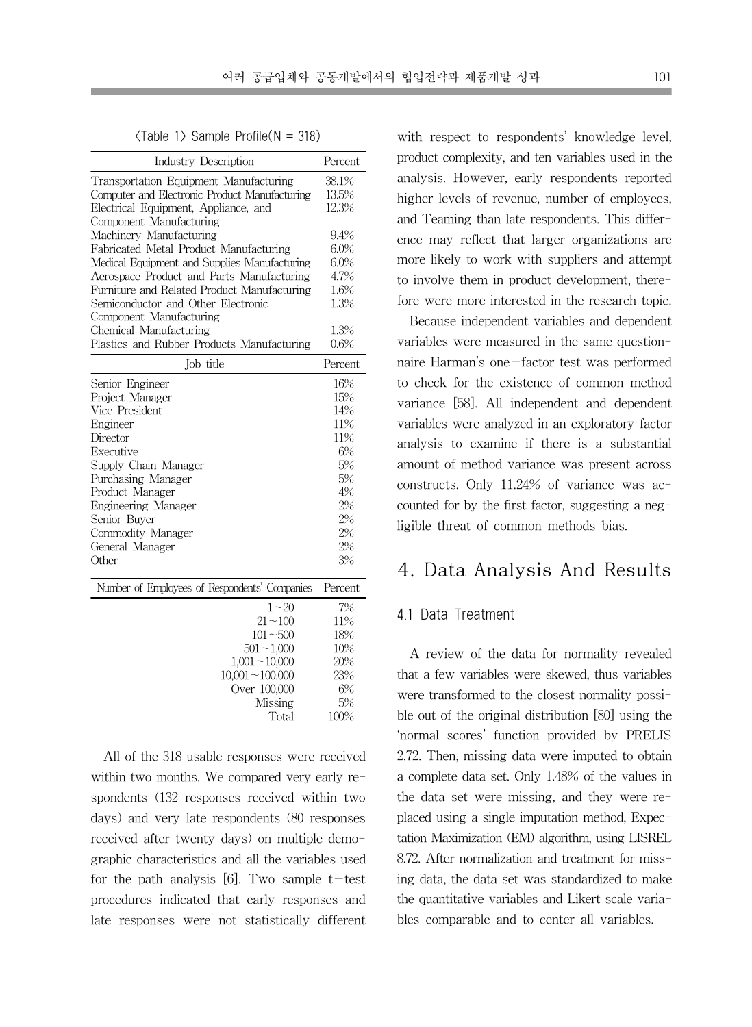$\langle$ Table 1 $\rangle$  Sample Profile( $N = 318$ )

| Industry Description                          | Percent |
|-----------------------------------------------|---------|
| Transportation Equipment Manufacturing        | 38.1%   |
| Computer and Electronic Product Manufacturing | 13.5%   |
| Electrical Equipment, Appliance, and          | 12.3%   |
| Component Manufacturing                       |         |
| Machinery Manufacturing                       | 9.4%    |
| Fabricated Metal Product Manufacturing        | 6.0%    |
| Medical Equipment and Supplies Manufacturing  | 6.0%    |
| Aerospace Product and Parts Manufacturing     | 4.7%    |
| Furniture and Related Product Manufacturing   | 1.6%    |
| Semiconductor and Other Electronic            | 1.3%    |
| Component Manufacturing                       |         |
| Chemical Manufacturing                        | 1.3%    |
| Plastics and Rubber Products Manufacturing    | 0.6%    |
| Job title                                     | Percent |
| Senior Engineer                               | 16%     |
| Project Manager                               | 15%     |
| Vice President                                | 14%     |
| Engineer                                      | 11%     |
| Director                                      | 11%     |
| Executive                                     | 6%      |
| Supply Chain Manager                          | 5%      |
| Purchasing Manager                            | 5%      |
| Product Manager                               | 4%      |
| Engineering Manager                           | 2%      |
| Senior Buver                                  | 2%      |
| Commodity Manager                             | 2%      |
| General Manager                               | 2%      |
| Other                                         | 3%      |
| Number of Employees of Respondents' Companies | Percent |
| $1 - 20$                                      | 7%      |
| $21 - 100$                                    | 11%     |
| $101 - 500$                                   | 18%     |
|                                               | 10%     |
| $501 - 1,000$                                 |         |
| $1,001 - 10,000$                              | 20%     |
| $10,001 - 100,000$                            | 23%     |
| Over 100,000                                  | 6%      |
| Missing                                       | 5%      |
| Total                                         | 100%    |

All of the 318 usable responses were received within two months. We compared very early respondents (132 responses received within two days) and very late respondents (80 responses received after twenty days) on multiple demographic characteristics and all the variables used for the path analysis [6]. Two sample  $t$ -test procedures indicated that early responses and late responses were not statistically different

with respect to respondents' knowledge level, product complexity, and ten variables used in the analysis. However, early respondents reported higher levels of revenue, number of employees, and Teaming than late respondents. This difference may reflect that larger organizations are more likely to work with suppliers and attempt to involve them in product development, therefore were more interested in the research topic.

Because independent variables and dependent variables were measured in the same questionnaire Harman's one-factor test was performed to check for the existence of common method variance [58]. All independent and dependent variables were analyzed in an exploratory factor analysis to examine if there is a substantial amount of method variance was present across constructs. Only 11.24% of variance was accounted for by the first factor, suggesting a negligible threat of common methods bias.

### 4. Data Analysis And Results

#### 4.1 Data Treatment

A review of the data for normality revealed that a few variables were skewed, thus variables were transformed to the closest normality possible out of the original distribution [80] using the 'normal scores' function provided by PRELIS 2.72. Then, missing data were imputed to obtain a complete data set. Only 1.48% of the values in the data set were missing, and they were replaced using a single imputation method, Expectation Maximization (EM) algorithm, using LISREL 8.72. After normalization and treatment for missing data, the data set was standardized to make the quantitative variables and Likert scale variables comparable and to center all variables.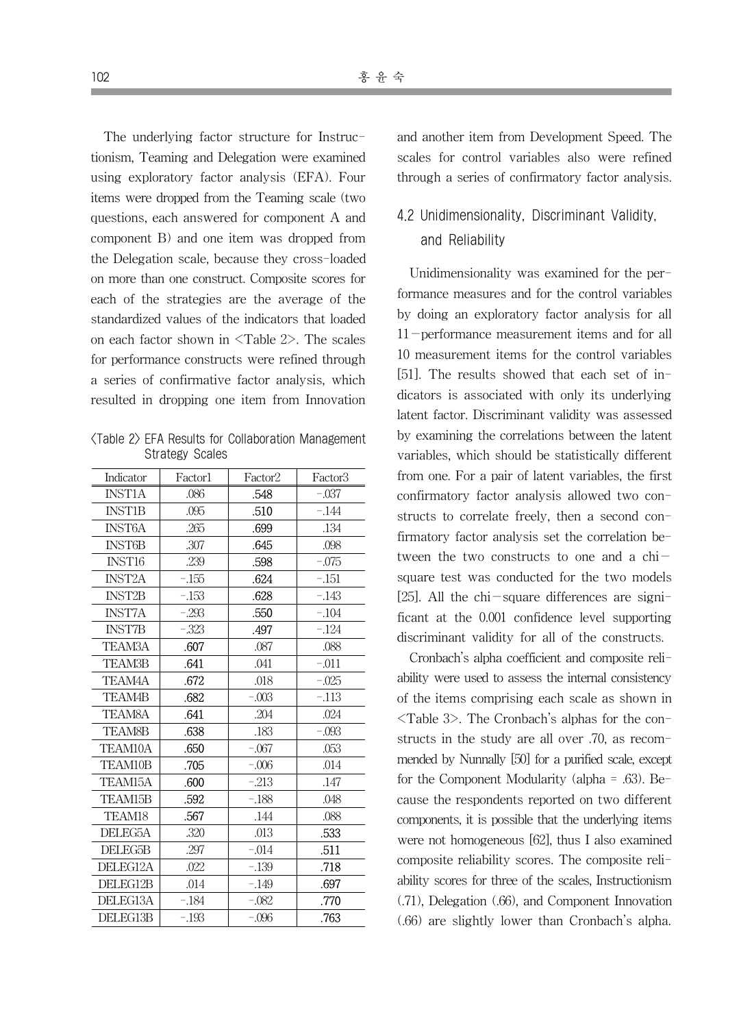The underlying factor structure for Instructionism, Teaming and Delegation were examined using exploratory factor analysis (EFA). Four items were dropped from the Teaming scale (two questions, each answered for component A and component B) and one item was dropped from the Delegation scale, because they cross-loaded on more than one construct. Composite scores for each of the strategies are the average of the standardized values of the indicators that loaded on each factor shown in <Table 2>. The scales for performance constructs were refined through a series of confirmative factor analysis, which resulted in dropping one item from Innovation

<Table 2> EFA Results for Collaboration Management Strategy Scales

| Indicator     | Factor1 | Factor2 | Factor3 |
|---------------|---------|---------|---------|
| <b>INST1A</b> | .086    | .548    | $-.037$ |
| <b>INST1B</b> | .095    | .510    | $-.144$ |
| <b>INST6A</b> | .265    | .699    | .134    |
| <b>INST6B</b> | .307    | .645    | .098    |
| INST16        | .239    | .598    | $-.075$ |
| <b>INST2A</b> | $-155$  | .624    | $-.151$ |
| <b>INST2B</b> | $-153$  | .628    | $-.143$ |
| <b>INST7A</b> | $-.293$ | .550    | $-.104$ |
| <b>INST7B</b> | $-.323$ | .497    | $-.124$ |
| <b>TEAM3A</b> | .607    | .087    | .088    |
| <b>TEAM3B</b> | .641    | .041    | $-.011$ |
| TEAM4A        | .672    | .018    | $-.025$ |
| <b>TEAM4B</b> | .682    | $-.003$ | $-.113$ |
| <b>TEAM8A</b> | .641    | .204    | .024    |
| <b>TEAM8B</b> | .638    | .183    | $-.093$ |
| TEAM10A       | .650    | $-.067$ | .053    |
| TEAM10B       | .705    | $-.006$ | .014    |
| TEAM15A       | .600    | $-213$  | .147    |
| TEAM15B       | .592    | $-188$  | .048    |
| TEAM18        | .567    | .144    | .088    |
| DELEG5A       | .320    | .013    | .533    |
| DELEG5B       | .297    | $-.014$ | .511    |
| DELEG12A      | .022    | $-139$  | .718    |
| DELEG12B      | .014    | $-.149$ | .697    |
| DELEG13A      | $-.184$ | $-.082$ | .770    |
| DELEG13B      | $-.193$ | -.096   | .763    |

and another item from Development Speed. The scales for control variables also were refined through a series of confirmatory factor analysis.

### 4.2 Unidimensionality, Discriminant Validity, and Reliability

Unidimensionality was examined for the performance measures and for the control variables by doing an exploratory factor analysis for all 11-performance measurement items and for all 10 measurement items for the control variables [51]. The results showed that each set of indicators is associated with only its underlying latent factor. Discriminant validity was assessed by examining the correlations between the latent variables, which should be statistically different from one. For a pair of latent variables, the first confirmatory factor analysis allowed two constructs to correlate freely, then a second confirmatory factor analysis set the correlation between the two constructs to one and a  $\text{chi}$ square test was conducted for the two models [25]. All the chi-square differences are significant at the 0.001 confidence level supporting discriminant validity for all of the constructs.

Cronbach's alpha coefficient and composite reliability were used to assess the internal consistency of the items comprising each scale as shown in <Table 3>. The Cronbach's alphas for the constructs in the study are all over .70, as recommended by Nunnally [50] for a purified scale, except for the Component Modularity (alpha = .63). Because the respondents reported on two different components, it is possible that the underlying items were not homogeneous [62], thus I also examined composite reliability scores. The composite reliability scores for three of the scales, Instructionism (.71), Delegation (.66), and Component Innovation (.66) are slightly lower than Cronbach's alpha.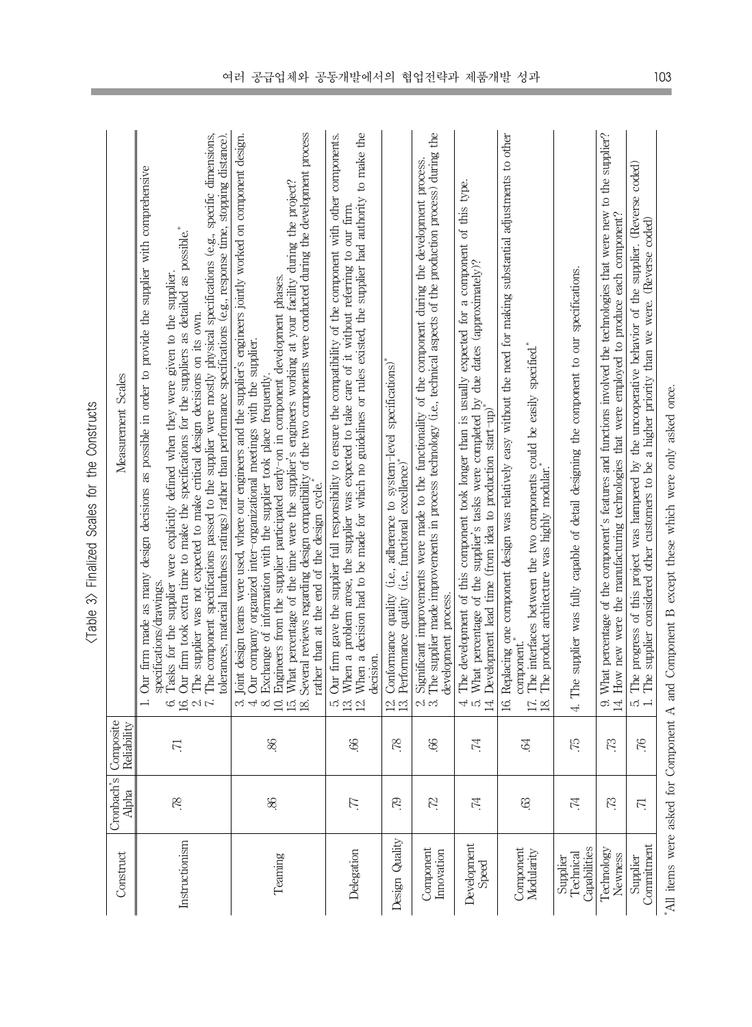| Construct                             | Cronbach's<br>Alpha | Composite<br>Reliability | Measurement Scales                                                                                                                                                                                                                                                                                                                                                                                                                                                                                                                                                                                                                                                                                                                 |
|---------------------------------------|---------------------|--------------------------|------------------------------------------------------------------------------------------------------------------------------------------------------------------------------------------------------------------------------------------------------------------------------------------------------------------------------------------------------------------------------------------------------------------------------------------------------------------------------------------------------------------------------------------------------------------------------------------------------------------------------------------------------------------------------------------------------------------------------------|
| Instructionism                        | SZ.                 | $\overline{\nabla}$      | The component specifications passed to the supplier were mostly physical specifications (e.g., specific dimensions,<br>tolerances, material hardness ratings) rather than performance specifications (e.g., response time, stopping distance).<br>Our firm made as many design decisions as possible in order to provide the supplier with comprehensive<br>Our firm took extra time to make the specifications for the suppliers as detailed as possible.<br>Tasks for the supplier were explicitly defined when they were given to the supplier.<br>The supplier was not expected to make critical design decisions on its own.<br>specifications/drawings.<br>$\overline{a}$<br>$\Xi \circ \iota$<br>6.                         |
| Teaming                               | æ.                  | 86.                      | Several reviews regarding design compatibility of the two components were conducted during the development process<br>Joint design teams were used, where our engineers and the supplier's engineers jointly worked on component design.<br>What percentage of the time were the supplier's engineers working at your facility during the project?<br>Engineers from the supplier participated early-on in component development phases.<br>Our company organized inter-organizational meetings with the supplier.<br>Exchange of information with the supplier took place frequently.<br>rather than at the end of the design cycle. <sup>*</sup><br>$\overline{10}$<br>$\overline{13}$<br>$\omega$ 4<br>$\infty$<br>$\mathbb{R}$ |
| Delegation                            | Ľ.                  | $\mathscr{E}$            | Our firm gave the supplier full responsibility to ensure the compatibility of the component with other components.<br>When a decision had to be made for which no guidelines or rules existed, the supplier had authority to make the<br>When a problem arose, the supplier was expected to take care of it without referring to our firm.<br>decision.<br>$\Xi$<br>$\vec{z}$<br>L்                                                                                                                                                                                                                                                                                                                                                |
| Design Quality                        | Ŗ,                  | SZ.                      | Conformance quality (i.e., adherence to system-level specifications)*<br>Performance quality (i.e., functional excellence)*<br>$\Xi$<br>$\overline{2}$                                                                                                                                                                                                                                                                                                                                                                                                                                                                                                                                                                             |
| Component<br>Innovation               | 72                  | S.                       | The supplier made improvements in process technology (i.e., technical aspects of the production process) during the<br>Significant improvements were made to the functionality of the component during the development process.<br>development process.<br>പ് ന്                                                                                                                                                                                                                                                                                                                                                                                                                                                                   |
| Development<br>Speed                  | F7.                 | F7.                      | The development of this component took longer than is usually expected for a component of this type.<br>5. What percentage of the supplier's tasks were completed by due dates (approximately)? 14. Development lead time (from idea to production start-up)<br>4.<br>5.                                                                                                                                                                                                                                                                                                                                                                                                                                                           |
| Component<br>Modularity               | œ.                  | S.                       | Replacing one component design was relatively easy without the need for making substantial adjustments to other<br>The interfaces between the two components could be easily specified."<br>product architecture was highly modular.<br>component."<br>The<br>$\overline{17}$ .<br>$\overline{16}$<br>$\Xi$                                                                                                                                                                                                                                                                                                                                                                                                                        |
| Capabilities<br>Technical<br>Supplier | F7.                 | Ę                        | The supplier was fully capable of detail designing the component to our specifications.<br>्<br>सं                                                                                                                                                                                                                                                                                                                                                                                                                                                                                                                                                                                                                                 |
| Technology<br>Newness                 | 73                  | 73                       | What percentage of the component's features and functions involved the technologies that were new to the supplier?<br>How new were the manufacturing technologies that were employed to produce each component?<br>.<br>တ<br>14.                                                                                                                                                                                                                                                                                                                                                                                                                                                                                                   |
| Commitment<br>Supplier                | $\overline{\Xi}$    | $\mathcal{F}$            | The progress of this project was hampered by the uncooperative behavior of the supplier. (Reverse coded)<br>5. The progress of this project was hampered by the uncooperative behavior or the supplier. And 1. The supplier considered other customers to be a higher priority than we were. (Reverse coded)                                                                                                                                                                                                                                                                                                                                                                                                                       |

<Table 3> Finalized Scales for the Constructs <Table 3> Finalized Scales for the Constructs

"All items were asked for Component A and Component B except these which were only asked once. \*All items were asked for Component A and Component B except these which were only asked once.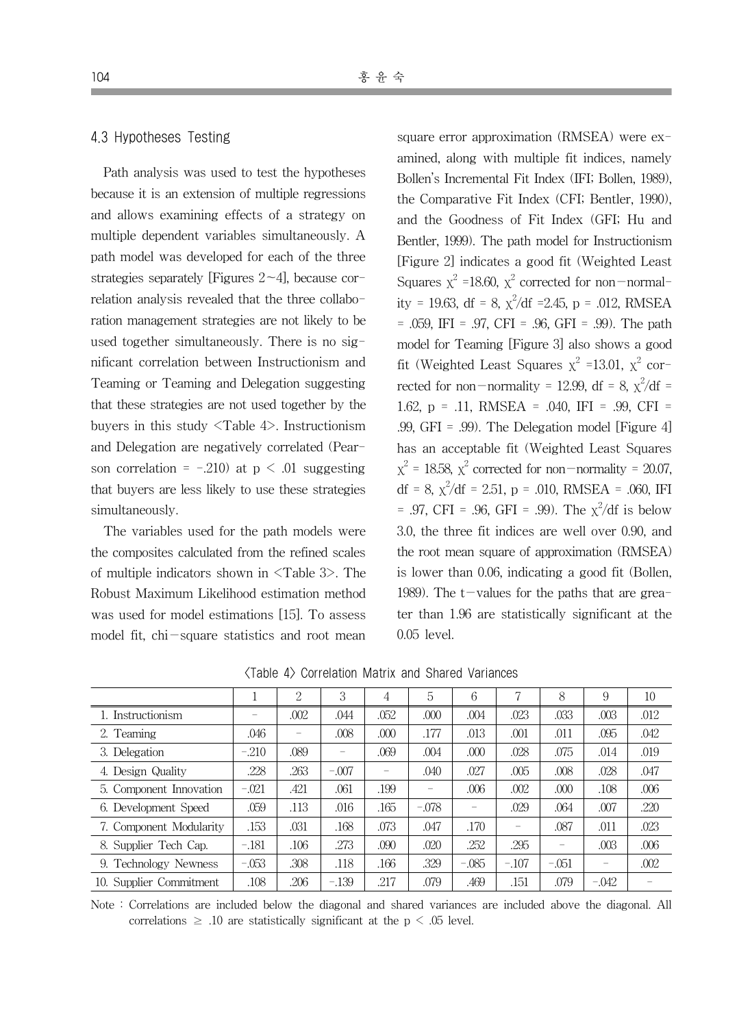#### 4.3 Hypotheses Testing

Path analysis was used to test the hypotheses because it is an extension of multiple regressions and allows examining effects of a strategy on multiple dependent variables simultaneously. A path model was developed for each of the three strategies separately [Figures 2~4], because correlation analysis revealed that the three collaboration management strategies are not likely to be used together simultaneously. There is no significant correlation between Instructionism and Teaming or Teaming and Delegation suggesting that these strategies are not used together by the buyers in this study <Table 4>. Instructionism and Delegation are negatively correlated (Pearson correlation =  $-.210$ ) at  $p \leq .01$  suggesting that buyers are less likely to use these strategies simultaneously.

The variables used for the path models were the composites calculated from the refined scales of multiple indicators shown in <Table 3>. The Robust Maximum Likelihood estimation method was used for model estimations [15]. To assess model fit, chi-square statistics and root mean

square error approximation (RMSEA) were examined, along with multiple fit indices, namely Bollen's Incremental Fit Index (IFI; Bollen, 1989), the Comparative Fit Index (CFI; Bentler, 1990), and the Goodness of Fit Index (GFI; Hu and Bentler, 1999). The path model for Instructionism [Figure 2] indicates a good fit (Weighted Least Squares  $x^2$  =18.60,  $x^2$  corrected for non-normality = 19.63, df = 8,  $\chi^2$ /df = 2.45, p = .012, RMSEA  $= .059$ , IFI = .97, CFI = .96, GFI = .99). The path model for Teaming [Figure 3] also shows a good fit (Weighted Least Squares  $x^2$  =13.01,  $x^2$  corrected for non-normality = 12.99, df = 8,  $\chi^2/df$  = 1.62, p = .11, RMSEA = .040, IFI = .99, CFI = .99, GFI = .99). The Delegation model [Figure 4] has an acceptable fit (Weighted Least Squares  $x^2 = 18.58$ ,  $x^2$  corrected for non-normality = 20.07, df = 8,  $\chi^2$ /df = 2.51, p = .010, RMSEA = .060, IFI  $= .97, \text{ CFI} = .96, \text{ GFI} = .99$ ). The  $\chi^2/\text{df}$  is below 3.0, the three fit indices are well over 0.90, and the root mean square of approximation (RMSEA) is lower than 0.06, indicating a good fit (Bollen, 1989). The  $t$ -values for the paths that are greater than 1.96 are statistically significant at the 0.05 level.

|                         |         | 2    | 3                        | 4                        | 5       | 6       |         | 8                        | 9                        | 10   |
|-------------------------|---------|------|--------------------------|--------------------------|---------|---------|---------|--------------------------|--------------------------|------|
| 1. Instructionism       |         | .002 | .044                     | .052                     | .000    | .004    | .023    | .033                     | .003                     | .012 |
| 2. Teaming              | .046    |      | .008                     | .000                     | .177    | .013    | .001    | .011                     | .095                     | .042 |
| 3. Delegation           | $-.210$ | .089 | $\overline{\phantom{a}}$ | .069                     | .004    | .000    | .028    | .075                     | .014                     | .019 |
| 4. Design Quality       | .228    | .263 | $-.007$                  | $\overline{\phantom{0}}$ | .040    | .027    | .005    | .008                     | .028                     | .047 |
| 5. Component Innovation | $-.021$ | .421 | .061                     | .199                     |         | .006    | .002    | .000                     | .108                     | .006 |
| 6. Development Speed    | .059    | .113 | .016                     | .165                     | $-.078$ | -       | .029    | .064                     | .007                     | .220 |
| 7. Component Modularity | .153    | .031 | .168                     | .073                     | .047    | .170    |         | .087                     | .011                     | .023 |
| 8. Supplier Tech Cap.   | $-.181$ | .106 | .273                     | .090                     | .020    | .252    | .295    | $\overline{\phantom{m}}$ | .003                     | .006 |
| 9. Technology Newness   | $-.053$ | .308 | .118                     | .166                     | .329    | $-.085$ | $-.107$ | $-.051$                  | $\overline{\phantom{a}}$ | .002 |
| 10. Supplier Commitment | .108    | .206 | $-.139$                  | .217                     | .079    | .469    | .151    | .079                     | $-.042$                  |      |

<Table 4> Correlation Matrix and Shared Variances

Note : Correlations are included below the diagonal and shared variances are included above the diagonal. All correlations  $\geq$  .10 are statistically significant at the p  $\leq$  .05 level.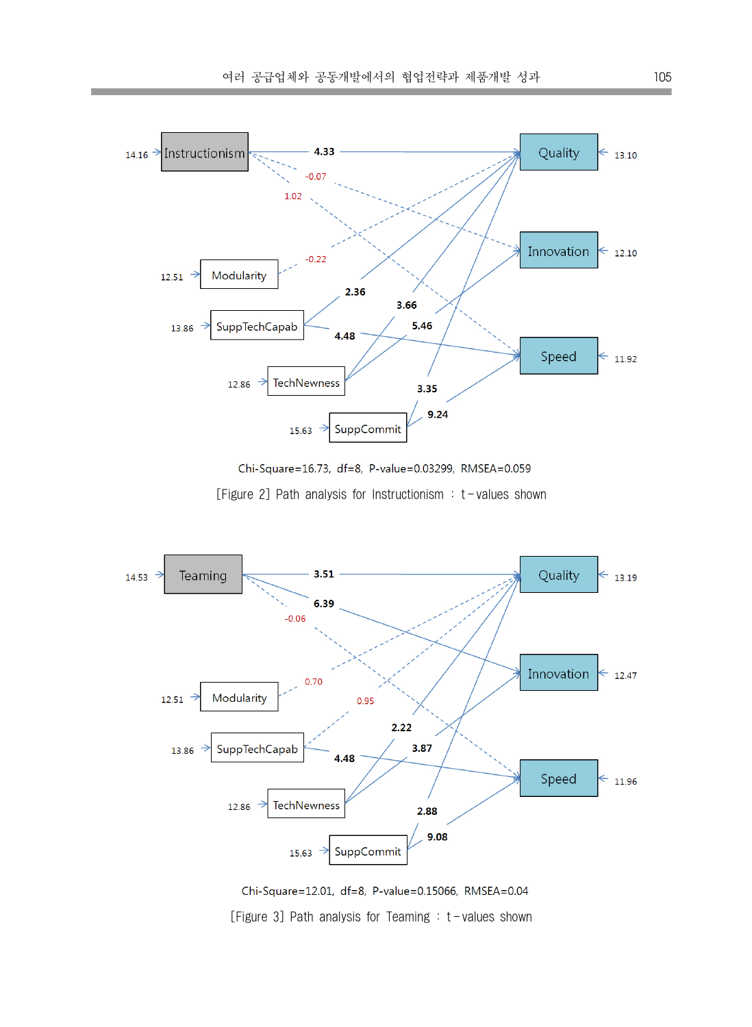



[Figure 2] Path analysis for Instructionism : t-values shown



Chi-Square=12.01, df=8, P-value=0.15066, RMSEA=0.04 [Figure 3] Path analysis for Teaming  $: t$  -values shown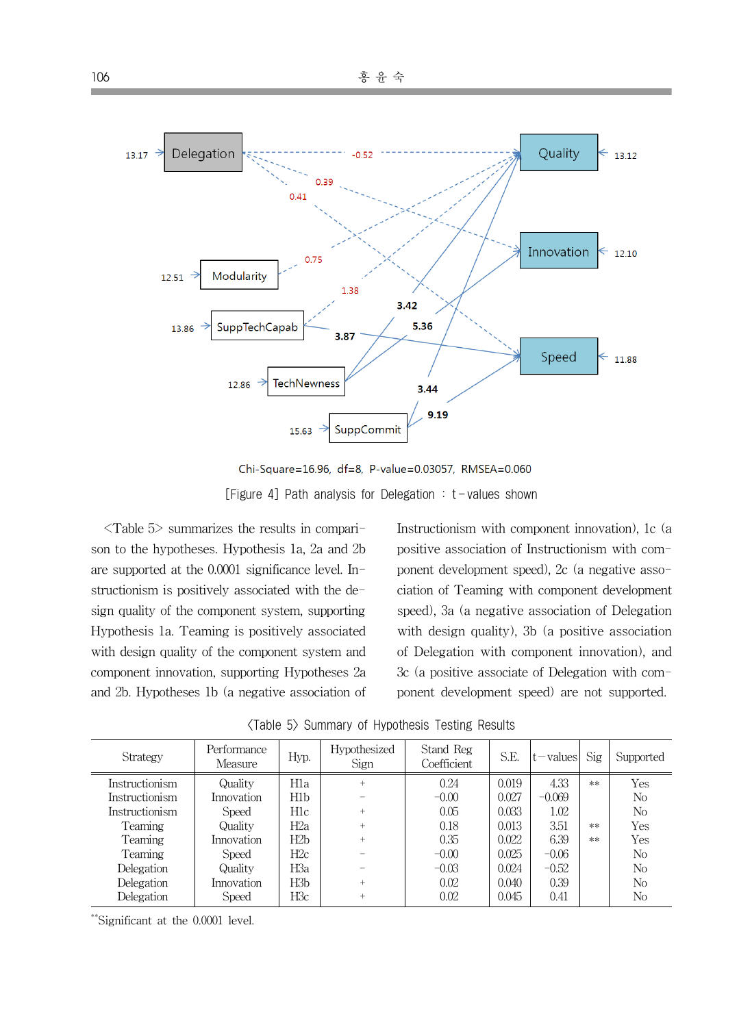

Chi-Square=16.96, df=8, P-value=0.03057, RMSEA=0.060 [Figure 4] Path analysis for Delegation  $:$  t-values shown

<Table 5> summarizes the results in comparison to the hypotheses. Hypothesis 1a, 2a and 2b are supported at the 0.0001 significance level. Instructionism is positively associated with the design quality of the component system, supporting Hypothesis 1a. Teaming is positively associated with design quality of the component system and component innovation, supporting Hypotheses 2a and 2b. Hypotheses 1b (a negative association of Instructionism with component innovation), 1c (a positive association of Instructionism with component development speed), 2c (a negative association of Teaming with component development speed), 3a (a negative association of Delegation with design quality), 3b (a positive association of Delegation with component innovation), and 3c (a positive associate of Delegation with component development speed) are not supported.

| Strategy              | Performance<br>Measure | Hyp.             | Hypothesized<br>Sign | Stand Reg<br>Coefficient | S.E.  | $t$ – values | Sig  | Supported      |
|-----------------------|------------------------|------------------|----------------------|--------------------------|-------|--------------|------|----------------|
| Instructionism        | Quality                | H1a              | $\ddot{}$            | 0.24                     | 0.019 | 4.33         | $**$ | Yes            |
| <i>Instructionism</i> | Innovation             | H1b              |                      | $-0.00$                  | 0.027 | $-0.069$     |      | No             |
| Instructionism        | Speed                  | H1c              | $^{+}$               | 0.05                     | 0.033 | 1.02         |      | No             |
| Teaming               | Quality                | H <sub>2</sub> a | $^{+}$               | 0.18                     | 0.013 | 3.51         | $**$ | Yes            |
| Teaming               | Innovation             | H2b              | $^{+}$               | 0.35                     | 0.022 | 6.39         | $**$ | Yes            |
| Teaming               | Speed                  | H2c              |                      | $-0.00$                  | 0.025 | $-0.06$      |      | No             |
| Delegation            | Quality                | H3a              |                      | $-0.03$                  | 0.024 | $-0.52$      |      | N <sub>0</sub> |
| Delegation            | Innovation             | H <sub>3</sub> b | $^{+}$               | 0.02                     | 0.040 | 0.39         |      | No             |
| Delegation            | Speed                  | H3c              | $\ddot{}$            | 0.02                     | 0.045 | 0.41         |      | No             |

<Table 5> Summary of Hypothesis Testing Results

\*\*Significant at the 0.0001 level.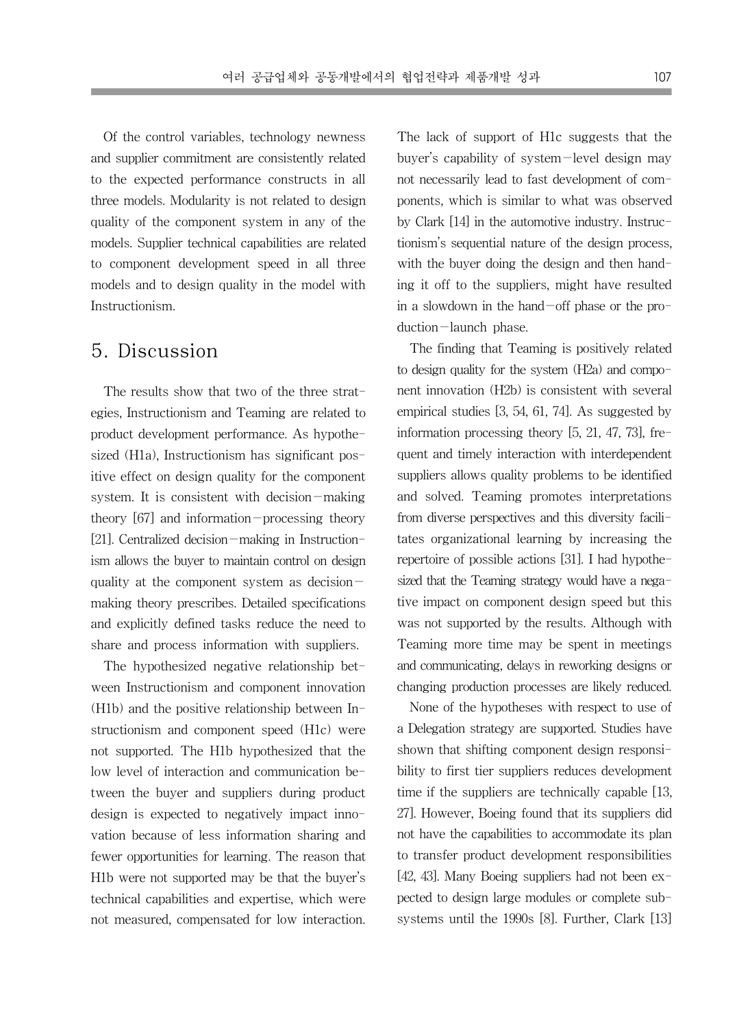Of the control variables, technology newness and supplier commitment are consistently related to the expected performance constructs in all three models. Modularity is not related to design quality of the component system in any of the models. Supplier technical capabilities are related to component development speed in all three models and to design quality in the model with Instructionism.

### 5. Discussion

The results show that two of the three strategies, Instructionism and Teaming are related to product development performance. As hypothesized (H1a), Instructionism has significant positive effect on design quality for the component system. It is consistent with decision-making theory  $[67]$  and information-processing theory [21]. Centralized decision-making in Instructionism allows the buyer to maintain control on design quality at the component system as decision making theory prescribes. Detailed specifications and explicitly defined tasks reduce the need to share and process information with suppliers.

The hypothesized negative relationship between Instructionism and component innovation (H1b) and the positive relationship between Instructionism and component speed (H1c) were not supported. The H1b hypothesized that the low level of interaction and communication between the buyer and suppliers during product design is expected to negatively impact innovation because of less information sharing and fewer opportunities for learning. The reason that H1b were not supported may be that the buyer's technical capabilities and expertise, which were not measured, compensated for low interaction.

The lack of support of H1c suggests that the buyer's capability of system-level design may not necessarily lead to fast development of components, which is similar to what was observed by Clark [14] in the automotive industry. Instructionism's sequential nature of the design process, with the buyer doing the design and then handing it off to the suppliers, might have resulted in a slowdown in the hand-off phase or the production-launch phase.

The finding that Teaming is positively related to design quality for the system (H2a) and component innovation (H2b) is consistent with several empirical studies [3, 54, 61, 74]. As suggested by information processing theory [5, 21, 47, 73], frequent and timely interaction with interdependent suppliers allows quality problems to be identified and solved. Teaming promotes interpretations from diverse perspectives and this diversity facilitates organizational learning by increasing the repertoire of possible actions [31]. I had hypothesized that the Teaming strategy would have a negative impact on component design speed but this was not supported by the results. Although with Teaming more time may be spent in meetings and communicating, delays in reworking designs or changing production processes are likely reduced.

None of the hypotheses with respect to use of a Delegation strategy are supported. Studies have shown that shifting component design responsibility to first tier suppliers reduces development time if the suppliers are technically capable [13, 27]. However, Boeing found that its suppliers did not have the capabilities to accommodate its plan to transfer product development responsibilities [42, 43]. Many Boeing suppliers had not been expected to design large modules or complete subsystems until the 1990s [8]. Further, Clark [13]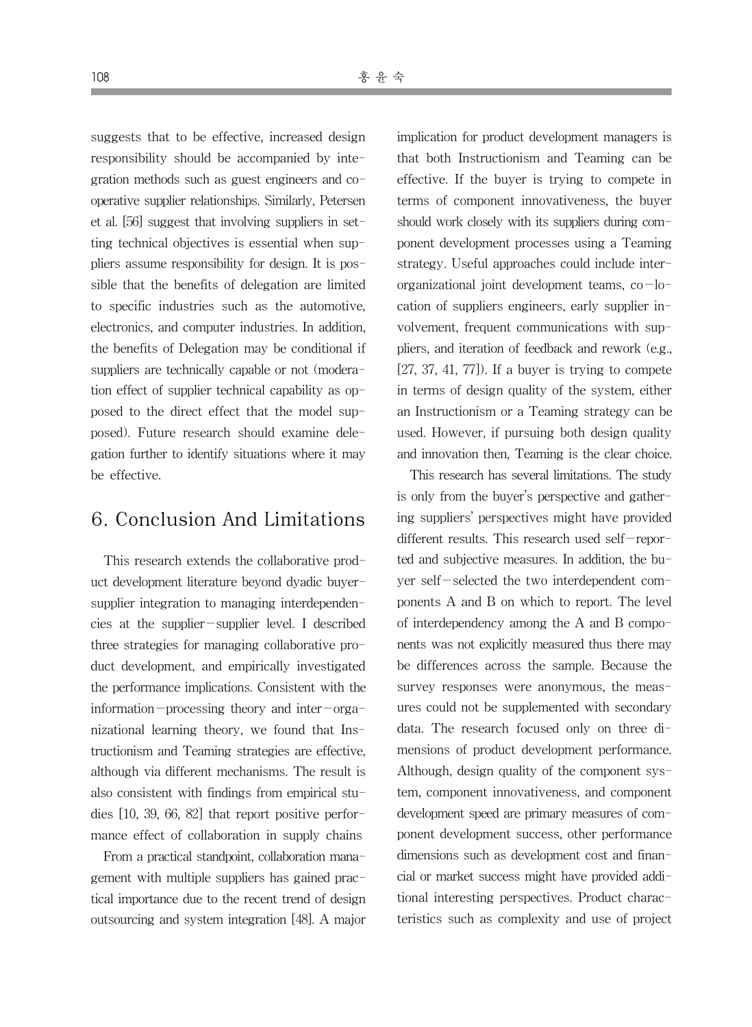suggests that to be effective, increased design responsibility should be accompanied by integration methods such as guest engineers and cooperative supplier relationships. Similarly, Petersen et al. [56] suggest that involving suppliers in setting technical objectives is essential when suppliers assume responsibility for design. It is possible that the benefits of delegation are limited to specific industries such as the automotive, electronics, and computer industries. In addition, the benefits of Delegation may be conditional if suppliers are technically capable or not (moderation effect of supplier technical capability as opposed to the direct effect that the model supposed). Future research should examine delegation further to identify situations where it may be effective.

### 6. Conclusion And Limitations

This research extends the collaborative product development literature beyond dyadic buyersupplier integration to managing interdependencies at the supplier-supplier level. I described three strategies for managing collaborative product development, and empirically investigated the performance implications. Consistent with the information-processing theory and inter-organizational learning theory, we found that Instructionism and Teaming strategies are effective, although via different mechanisms. The result is also consistent with findings from empirical studies [10, 39, 66, 82] that report positive performance effect of collaboration in supply chains

From a practical standpoint, collaboration management with multiple suppliers has gained practical importance due to the recent trend of design outsourcing and system integration [48]. A major implication for product development managers is that both Instructionism and Teaming can be effective. If the buyer is trying to compete in terms of component innovativeness, the buyer should work closely with its suppliers during component development processes using a Teaming strategy. Useful approaches could include interorganizational joint development teams,  $co$ -location of suppliers engineers, early supplier involvement, frequent communications with suppliers, and iteration of feedback and rework (e.g.,  $[27, 37, 41, 77]$ . If a buyer is trying to compete in terms of design quality of the system, either an Instructionism or a Teaming strategy can be used. However, if pursuing both design quality and innovation then, Teaming is the clear choice.

This research has several limitations. The study is only from the buyer's perspective and gathering suppliers' perspectives might have provided different results. This research used self-reported and subjective measures. In addition, the buyer self-selected the two interdependent components A and B on which to report. The level of interdependency among the A and B components was not explicitly measured thus there may be differences across the sample. Because the survey responses were anonymous, the measures could not be supplemented with secondary data. The research focused only on three dimensions of product development performance. Although, design quality of the component system, component innovativeness, and component development speed are primary measures of component development success, other performance dimensions such as development cost and financial or market success might have provided additional interesting perspectives. Product characteristics such as complexity and use of project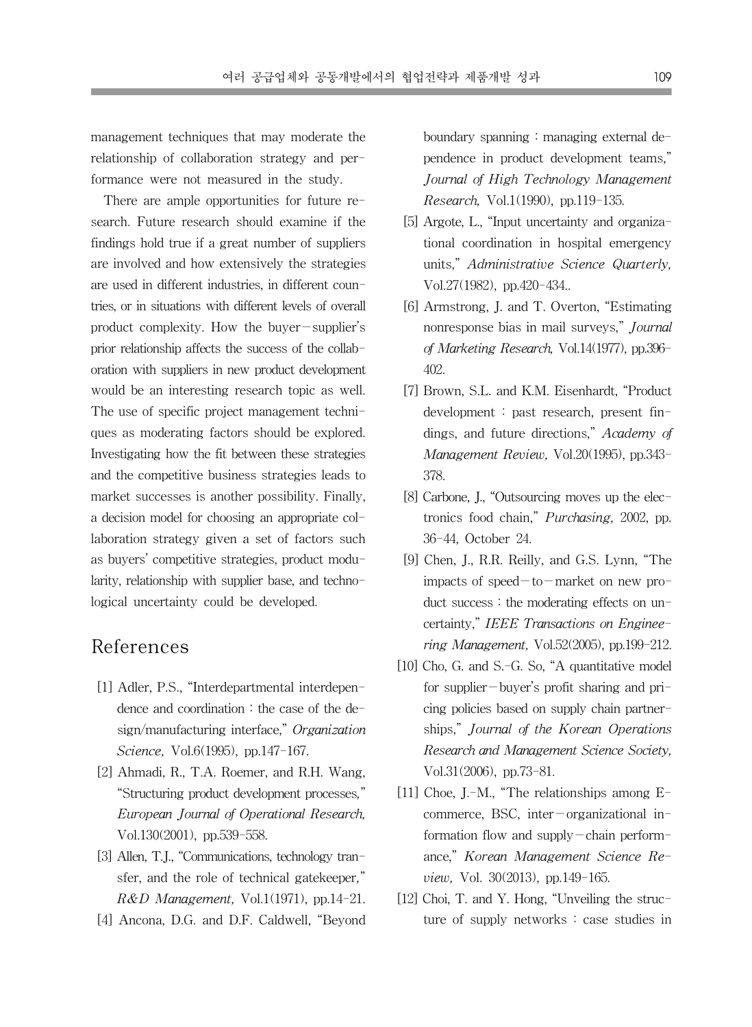management techniques that may moderate the relationship of collaboration strategy and performance were not measured in the study.

There are ample opportunities for future research. Future research should examine if the findings hold true if a great number of suppliers are involved and how extensively the strategies are used in different industries, in different countries, or in situations with different levels of overall product complexity. How the buyer-supplier's prior relationship affects the success of the collaboration with suppliers in new product development would be an interesting research topic as well. The use of specific project management techniques as moderating factors should be explored. Investigating how the fit between these strategies and the competitive business strategies leads to market successes is another possibility. Finally, a decision model for choosing an appropriate collaboration strategy given a set of factors such as buyers' competitive strategies, product modularity, relationship with supplier base, and technological uncertainty could be developed.

### References

- [1] Adler, P.S., "Interdepartmental interdependence and coordination : the case of the design/manufacturing interface," Organization Science, Vol.6(1995), pp.147-167.
- [2] Ahmadi, R., T.A. Roemer, and R.H. Wang, "Structuring product development processes," European Journal of Operational Research, Vol.130(2001), pp.539-558.
- [3] Allen, T.J., "Communications, technology transfer, and the role of technical gatekeeper,"  $R&D$  Management, Vol.1(1971), pp.14-21.
- [4] Ancona, D.G. and D.F. Caldwell, "Beyond

boundary spanning : managing external dependence in product development teams," Journal of High Technology Management Research, Vol.1(1990), pp.119-135.

- [5] Argote, L., "Input uncertainty and organizational coordination in hospital emergency units," Administrative Science Quarterly, Vol.27(1982), pp.420-434..
- [6] Armstrong, J. and T. Overton, "Estimating nonresponse bias in mail surveys," Journal of Marketing Research, Vol.14(1977), pp.396- 402.
- [7] Brown, S.L. and K.M. Eisenhardt, "Product development : past research, present findings, and future directions," Academy of Management Review, Vol.20(1995), pp.343- 378.
- [8] Carbone, J., "Outsourcing moves up the electronics food chain," Purchasing, 2002, pp. 36-44, October 24.
- [9] Chen, J., R.R. Reilly, and G.S. Lynn, "The impacts of speed $-$ to $-$ market on new product success : the moderating effects on uncertainty," IEEE Transactions on Engineering Management, Vol.52(2005), pp.199-212.
- [10] Cho, G. and S.-G. So, "A quantitative model for supplier-buyer's profit sharing and pricing policies based on supply chain partnerships," Journal of the Korean Operations Research and Management Science Society, Vol.31(2006), pp.73-81.
- [11] Choe, J.-M., "The relationships among Ecommerce, BSC, inter-organizational information flow and supply-chain performance," Korean Management Science Review, Vol. 30(2013), pp.149-165.
- [12] Choi, T. and Y. Hong, "Unveiling the structure of supply networks : case studies in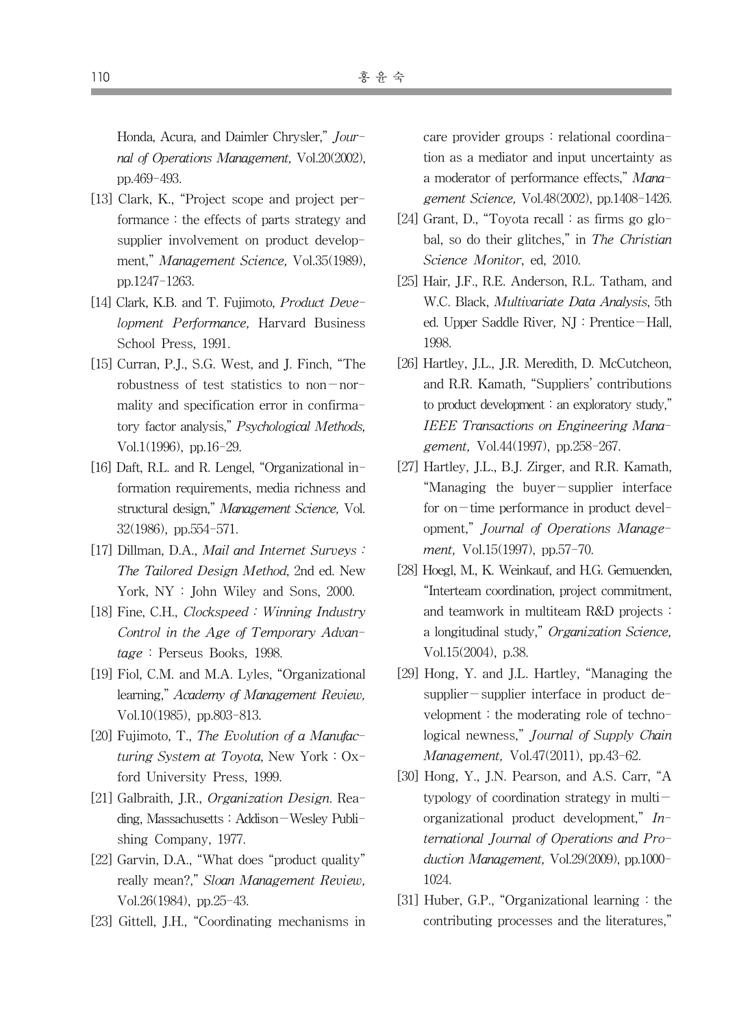Honda, Acura, and Daimler Chrysler," Journal of Operations Management, Vol.20(2002), pp.469-493.

- [13] Clark, K., "Project scope and project performance : the effects of parts strategy and supplier involvement on product development," Management Science, Vol.35(1989), pp.1247-1263.
- [14] Clark, K.B. and T. Fujimoto, *Product Deve*lopment Performance, Harvard Business School Press, 1991.
- [15] Curran, P.J., S.G. West, and J. Finch, "The robustness of test statistics to non-normality and specification error in confirmatory factor analysis," Psychological Methods, Vol.1(1996), pp.16-29.
- [16] Daft, R.L. and R. Lengel, "Organizational information requirements, media richness and structural design," Management Science, Vol. 32(1986), pp.554-571.
- [17] Dillman, D.A., *Mail and Internet Surveys:* The Tailored Design Method, 2nd ed. New York, NY : John Wiley and Sons, 2000.
- [18] Fine, C.H., Clockspeed : Winning Industry Control in the Age of Temporary Advantage : Perseus Books, 1998.
- [19] Fiol, C.M. and M.A. Lyles, "Organizational learning," Academy of Management Review, Vol.10(1985), pp.803-813.
- [20] Fujimoto, T., The Evolution of a Manufacturing System at Toyota, New York : Oxford University Press, 1999.
- [21] Galbraith, J.R., Organization Design. Reading, Massachusetts : Addison-Wesley Publishing Company, 1977.
- [22] Garvin, D.A., "What does "product quality" really mean?," Sloan Management Review, Vol.26(1984), pp.25-43.
- [23] Gittell, J.H., "Coordinating mechanisms in

care provider groups : relational coordination as a mediator and input uncertainty as a moderator of performance effects," Management Science, Vol.48(2002), pp.1408-1426.

- [24] Grant, D., "Toyota recall : as firms go global, so do their glitches," in The Christian Science Monitor, ed, 2010.
- [25] Hair, J.F., R.E. Anderson, R.L. Tatham, and W.C. Black, Multivariate Data Analysis, 5th ed. Upper Saddle River, NJ : Prentice-Hall, 1998.
- [26] Hartley, J.L., J.R. Meredith, D. McCutcheon, and R.R. Kamath, "Suppliers' contributions to product development : an exploratory study," IEEE Transactions on Engineering Management, Vol.44(1997), pp.258-267.
- [27] Hartley, J.L., B.J. Zirger, and R.R. Kamath, "Managing the buyer-supplier interface for on-time performance in product development," Journal of Operations Management, Vol.15(1997), pp.57-70.
- [28] Hoegl, M., K. Weinkauf, and H.G. Gemuenden, "Interteam coordination, project commitment, and teamwork in multiteam R&D projects : a longitudinal study," Organization Science, Vol.15(2004), p.38.
- [29] Hong, Y. and J.L. Hartley, "Managing the supplier-supplier interface in product development : the moderating role of technological newness," Journal of Supply Chain Management, Vol.47(2011), pp.43-62.
- [30] Hong, Y., J.N. Pearson, and A.S. Carr, "A typology of coordination strategy in multiorganizational product development,"  $In$ ternational Journal of Operations and Production Management, Vol.29(2009), pp.1000- 1024.
- [31] Huber, G.P., "Organizational learning : the contributing processes and the literatures,"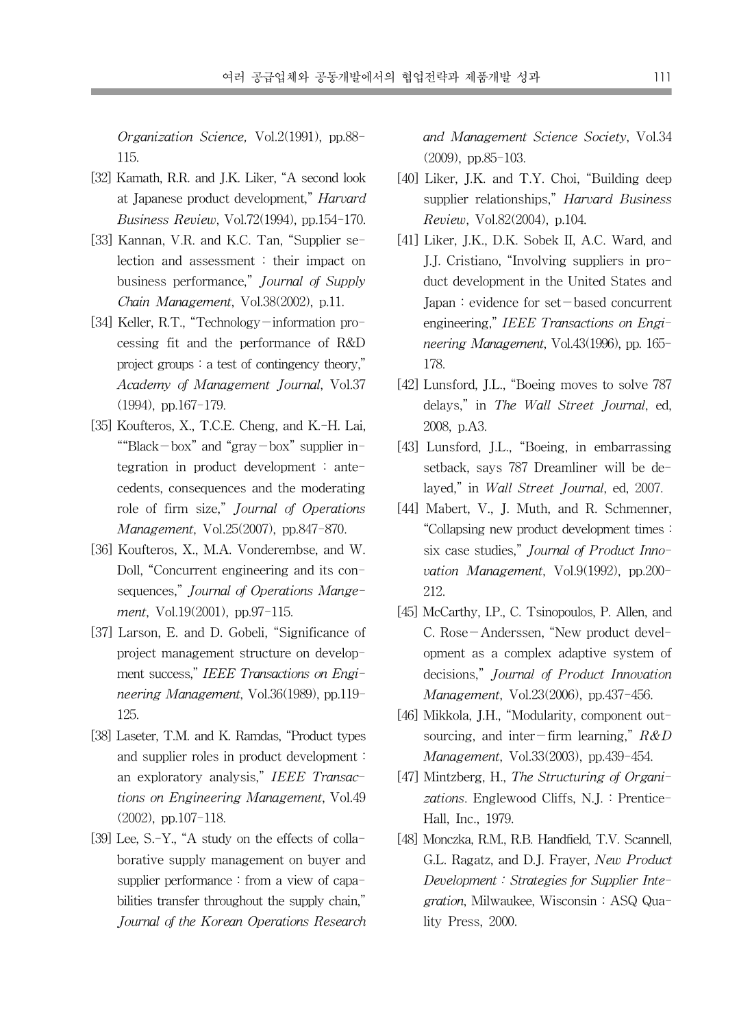Organization Science, Vol.2(1991), pp.88- 115.

- [32] Kamath, R.R. and J.K. Liker, "A second look at Japanese product development," Harvard Business Review, Vol.72(1994), pp.154-170.
- [33] Kannan, V.R. and K.C. Tan, "Supplier selection and assessment : their impact on business performance," Journal of Supply Chain Management, Vol.38(2002), p.11.
- [34] Keller, R.T., "Technology-information processing fit and the performance of R&D project groups : a test of contingency theory," Academy of Management Journal, Vol.37 (1994), pp.167-179.
- [35] Koufteros, X., T.C.E. Cheng, and K.-H. Lai, ""Black-box" and "gray-box" supplier integration in product development : antecedents, consequences and the moderating role of firm size," Journal of Operations Management, Vol.25(2007), pp.847-870.
- [36] Koufteros, X., M.A. Vonderembse, and W. Doll, "Concurrent engineering and its consequences," Journal of Operations Mangement, Vol.19(2001), pp.97-115.
- [37] Larson, E. and D. Gobeli, "Significance of project management structure on development success," IEEE Transactions on Engineering Management, Vol.36(1989), pp.119- 125.
- [38] Laseter, T.M. and K. Ramdas, "Product types and supplier roles in product development : an exploratory analysis," IEEE Transactions on Engineering Management, Vol.49 (2002), pp.107-118.
- [39] Lee, S.-Y., "A study on the effects of collaborative supply management on buyer and supplier performance : from a view of capabilities transfer throughout the supply chain," Journal of the Korean Operations Research

and Management Science Society, Vol.34 (2009), pp.85-103.

- [40] Liker, J.K. and T.Y. Choi, "Building deep supplier relationships," Harvard Business Review, Vol.82(2004), p.104.
- [41] Liker, J.K., D.K. Sobek II, A.C. Ward, and J.J. Cristiano, "Involving suppliers in product development in the United States and Japan : evidence for set-based concurrent engineering," IEEE Transactions on Engineering Management, Vol.43(1996), pp. 165- 178.
- [42] Lunsford, J.L., "Boeing moves to solve 787 delays," in The Wall Street Journal, ed, 2008, p.A3.
- [43] Lunsford, J.L., "Boeing, in embarrassing setback, says 787 Dreamliner will be delayed," in Wall Street Journal, ed, 2007.
- [44] Mabert, V., J. Muth, and R. Schmenner, "Collapsing new product development times : six case studies," Journal of Product Innovation Management, Vol.9(1992), pp.200- 212.
- [45] McCarthy, I.P., C. Tsinopoulos, P. Allen, and C. Rose-Anderssen, "New product development as a complex adaptive system of decisions," Journal of Product Innovation Management, Vol.23(2006), pp.437-456.
- [46] Mikkola, J.H., "Modularity, component outsourcing, and inter-firm learning,"  $R&D$ Management, Vol.33(2003), pp.439-454.
- [47] Mintzberg, H., The Structuring of Organizations. Englewood Cliffs, N.J. : Prentice-Hall, Inc., 1979.
- [48] Monczka, R.M., R.B. Handfield, T.V. Scannell, G.L. Ragatz, and D.J. Frayer, New Product Development : Strategies for Supplier Integration, Milwaukee, Wisconsin : ASQ Quality Press, 2000.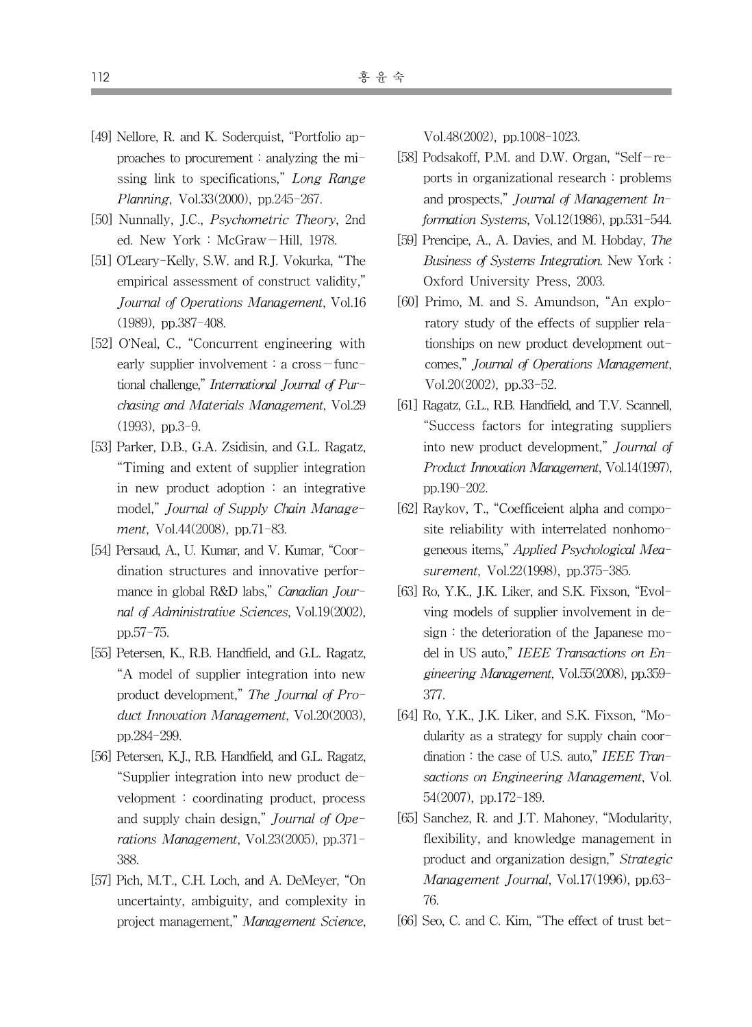- [49] Nellore, R. and K. Soderquist, "Portfolio approaches to procurement : analyzing the missing link to specifications," Long Range Planning, Vol.33(2000), pp.245-267.
- [50] Nunnally, J.C., *Psychometric Theory*, 2nd ed. New York : McGraw-Hill, 1978.
- [51] O'Leary-Kelly, S.W. and R.J. Vokurka, "The empirical assessment of construct validity," Journal of Operations Management, Vol.16 (1989), pp.387-408.
- [52] O'Neal, C., "Concurrent engineering with early supplier involvement : a  $\text{cross}-\text{func}$ tional challenge," International Journal of Purchasing and Materials Management, Vol.29 (1993), pp.3-9.
- [53] Parker, D.B., G.A. Zsidisin, and G.L. Ragatz, "Timing and extent of supplier integration in new product adoption : an integrative model," Journal of Supply Chain Management, Vol.44(2008), pp.71-83.
- [54] Persaud, A., U. Kumar, and V. Kumar, "Coordination structures and innovative performance in global R&D labs," Canadian Journal of Administrative Sciences, Vol.19(2002), pp.57-75.
- [55] Petersen, K., R.B. Handfield, and G.L. Ragatz, "A model of supplier integration into new product development," The Journal of Product Innovation Management, Vol.20(2003), pp.284-299.
- [56] Petersen, K.J., R.B. Handfield, and G.L. Ragatz, "Supplier integration into new product development : coordinating product, process and supply chain design," Journal of Operations Management, Vol.23(2005), pp.371- 388.
- [57] Pich, M.T., C.H. Loch, and A. DeMeyer, "On uncertainty, ambiguity, and complexity in project management," Management Science,

Vol.48(2002), pp.1008-1023.

- [58] Podsakoff, P.M. and D.W. Organ, "Self-reports in organizational research : problems and prospects," Journal of Management Information Systems, Vol.12(1986), pp.531-544.
- [59] Prencipe, A., A. Davies, and M. Hobday, The Business of Systems Integration. New York : Oxford University Press, 2003.
- [60] Primo, M. and S. Amundson, "An exploratory study of the effects of supplier relationships on new product development outcomes," Journal of Operations Management, Vol.20(2002), pp.33-52.
- [61] Ragatz, G.L., R.B. Handfield, and T.V. Scannell, "Success factors for integrating suppliers into new product development," Journal of Product Innovation Management, Vol.14(1997), pp.190-202.
- [62] Raykov, T., "Coefficeient alpha and composite reliability with interrelated nonhomogeneous items," Applied Psychological Measurement, Vol.22(1998), pp.375-385.
- [63] Ro, Y.K., J.K. Liker, and S.K. Fixson, "Evolving models of supplier involvement in design : the deterioration of the Japanese model in US auto," IEEE Transactions on Engineering Management, Vol.55(2008), pp.359- 377.
- [64] Ro, Y.K., J.K. Liker, and S.K. Fixson, "Modularity as a strategy for supply chain coordination: the case of U.S. auto," IEEE Transactions on Engineering Management, Vol. 54(2007), pp.172-189.
- [65] Sanchez, R. and J.T. Mahoney, "Modularity, flexibility, and knowledge management in product and organization design," Strategic Management Journal, Vol.17(1996), pp.63- 76.
- [66] Seo, C. and C. Kim, "The effect of trust bet-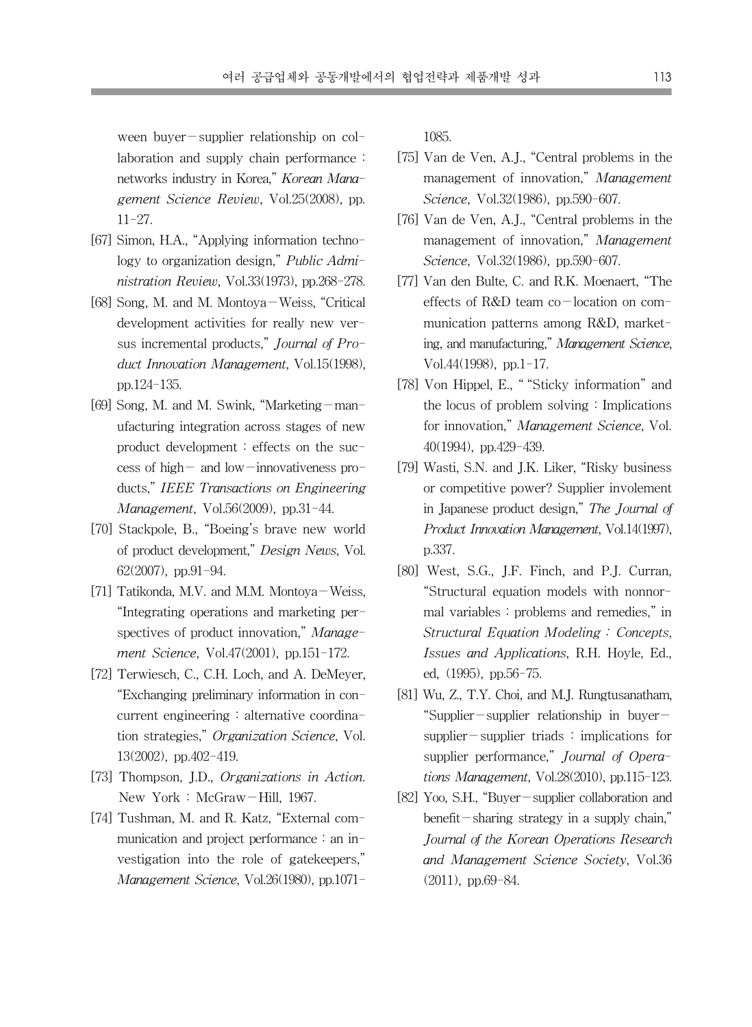ween buyer-supplier relationship on collaboration and supply chain performance : networks industry in Korea," Korean Management Science Review, Vol.25(2008), pp. 11-27.

- [67] Simon, H.A., "Applying information technology to organization design," Public Administration Review, Vol.33(1973), pp.268-278.
- [68] Song, M. and M. Montoya-Weiss, "Critical development activities for really new versus incremental products," Journal of Product Innovation Management, Vol.15(1998), pp.124-135.
- [69] Song, M. and M. Swink, "Marketing-manufacturing integration across stages of new product development : effects on the success of high- and low-innovativeness products," IEEE Transactions on Engineering Management, Vol.56(2009), pp.31-44.
- [70] Stackpole, B., "Boeing's brave new world of product development," Design News, Vol. 62(2007), pp.91-94.
- [71] Tatikonda, M.V. and M.M. Montova-Weiss, "Integrating operations and marketing perspectives of product innovation," Management Science, Vol.47(2001), pp.151-172.
- [72] Terwiesch, C., C.H. Loch, and A. DeMeyer, "Exchanging preliminary information in concurrent engineering : alternative coordination strategies," Organization Science, Vol. 13(2002), pp.402-419.
- [73] Thompson, J.D., Organizations in Action. New York : McGraw-Hill, 1967.
- [74] Tushman, M. and R. Katz, "External communication and project performance : an investigation into the role of gatekeepers," Management Science, Vol.26(1980), pp.1071-

1085.

- [75] Van de Ven, A.J., "Central problems in the management of innovation," Management Science, Vol.32(1986), pp.590-607.
- [76] Van de Ven, A.J., "Central problems in the management of innovation," Management Science, Vol.32(1986), pp.590-607.
- [77] Van den Bulte, C. and R.K. Moenaert, "The effects of R&D team co-location on communication patterns among R&D, marketing, and manufacturing," Management Science, Vol.44(1998), pp.1-17.
- [78] Von Hippel, E., " "Sticky information" and the locus of problem solving : Implications for innovation," Management Science, Vol. 40(1994), pp.429-439.
- [79] Wasti, S.N. and J.K. Liker, "Risky business or competitive power? Supplier involement in Japanese product design," The Journal of Product Innovation Management, Vol.14(1997), p.337.
- [80] West, S.G., J.F. Finch, and P.J. Curran, "Structural equation models with nonnormal variables : problems and remedies," in Structural Equation Modeling : Concepts, Issues and Applications, R.H. Hoyle, Ed., ed, (1995), pp.56-75.
- [81] Wu, Z., T.Y. Choi, and M.J. Rungtusanatham, "Supplier-supplier relationship in buyersupplier-supplier triads : implications for supplier performance," Journal of Operations Management, Vol.28(2010), pp.115-123.
- [82] Yoo, S.H., "Buyer-supplier collaboration and benefit-sharing strategy in a supply chain," Journal of the Korean Operations Research and Management Science Society, Vol.36 (2011), pp.69-84.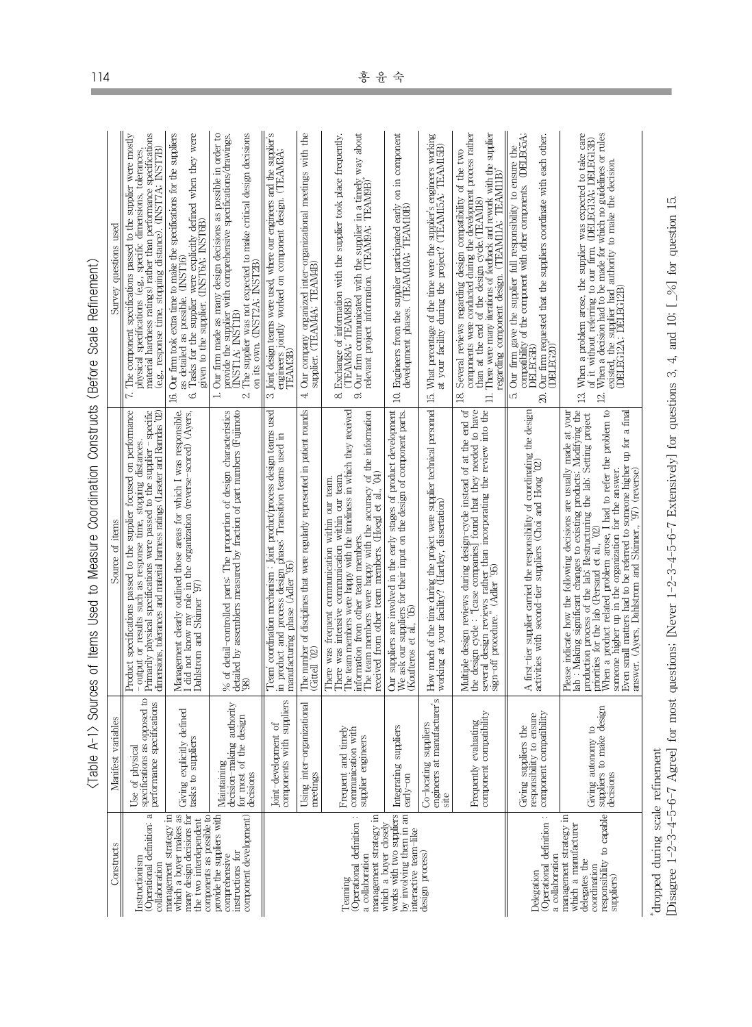| ׇ֖֖֖֖֖֖֖֖֖֪ׅ֪֪ׅ֚֚֚֚֚֚֚֚֚֚֚֚֡֝֬֓ <b>֓</b> |
|------------------------------------------|
|                                          |
| ı                                        |
| ;<br>;<br>;<br>֡֡֡֡֡֡                    |
| l<br>Ì                                   |
| ֦֖֖֖֖֪֖֪ׅ֪֪֪ׅ֚֚֚֚֚֚֚֘֝֬֓ <u>֓</u>        |
|                                          |
| ;<br>;<br>;<br>;                         |
| l                                        |
| )<br>)                                   |
|                                          |
|                                          |
|                                          |
| j<br>ļ                                   |
| j                                        |
| ؘۥ<br>j<br>$\overline{a}$<br>ļ           |

| Constructs                                                                                                                           | variables<br>Manifest                                                                 | Source of items                                                                                                                                                                                                                                                                                                                                                                                                                                                                                     | Survey questions used                                                                                                                                                                                                                                                                                                                 |
|--------------------------------------------------------------------------------------------------------------------------------------|---------------------------------------------------------------------------------------|-----------------------------------------------------------------------------------------------------------------------------------------------------------------------------------------------------------------------------------------------------------------------------------------------------------------------------------------------------------------------------------------------------------------------------------------------------------------------------------------------------|---------------------------------------------------------------------------------------------------------------------------------------------------------------------------------------------------------------------------------------------------------------------------------------------------------------------------------------|
| Operational definition: a<br>Instructionism<br>collaboration                                                                         | opposed to<br>performance specifications<br>Use of physical<br>specifications as      | Product specifications passed to the supplier focused on performance<br>Primarily physical specifications were passed to the supplier - specific<br>dimensions, tolerances and material hamess ratings (Laseter and Ramdas '02)<br>- output or results such as response time, stopping distances.                                                                                                                                                                                                   | material hardness ratings) rather than performance specifications<br>7. The component specifications passed to the supplier were mostly<br>(e.g., response time, stopping distance). (INST7A; INST7B)<br>physical specifications (e.g., specific dimensions, tolerances,                                                              |
| management strategy in<br>which a buyer makes as<br>many design decisions for<br>components as possible to<br>the two interdependent | y defined<br>tasks to suppliers<br>Giving explicitl                                   | Management clearly outlined those areas for which I was responsible.<br>I did not know my role in the organization (reverse-scored) (Ayers,<br>Dahlstrom and Skinner '97)                                                                                                                                                                                                                                                                                                                           | Our firm took extra time to make the specifications for the suppliers<br>Tasks for the supplier were explicitly defined when they were<br>given to the supplier. (INST6A; INST6B)<br>as detailed as possible. (INST16)<br>6.<br>16.                                                                                                   |
| component development)<br>provide the suppliers with<br>instructions for<br>comprehensive                                            | authority<br>design<br>decision-making<br>for most of the<br>Maintaining<br>decisions | % of detail-controlled parts: The proportion of design characteristics<br>detailed by assemblers measured by fraction of part numbers (Fujimoto<br>'98)                                                                                                                                                                                                                                                                                                                                             | Our firm made as many design decisions as possible in order to<br>The supplier was not expected to make critical design decisions<br>provide the supplier with comprehensive specifications/drawings.<br>on its own. (INST2A; INST2B)<br><b>INSTIA</b> ; INSTIB)<br>$\div$<br>C.                                                      |
|                                                                                                                                      | components with suppliers<br>Joint-development of                                     | Team' coordination mechanism : Joint product/process design teams used<br>in product and process design phase; Transition teams used in<br>ශි<br>manufacturing phase (Adler                                                                                                                                                                                                                                                                                                                         | supplier's<br>engineers jointly worked on component design. (TEAM3A;<br>Joint design teams were used, where our engineers and the<br><b>TEAMBE</b><br>ಲ                                                                                                                                                                               |
|                                                                                                                                      | anizational<br>Using inter-orga<br>meetings                                           | The number of disciplines that were regularly represented in patient rounds<br>Gittell '02                                                                                                                                                                                                                                                                                                                                                                                                          | Our company organized inter-organizational meetings with the<br>supplier. (TEAMAA; TEAMAB)<br>4                                                                                                                                                                                                                                       |
| Operational definition:<br>management strategy in<br>a collaboration<br>Teaming                                                      | Frequent and timely<br>with<br>supplier engineers<br>communication                    | The team members were happy with the timeliness in which they received information from other team members.<br>The team members were happy with the accuracy of the information<br>$\mathbb{R}^0$<br>There was intensive communication within our team.<br>There was frequent communication within our team.<br>received from other team members. (Hoegl et al.,                                                                                                                                    | Our firm communicated with the supplier in a timely way about<br>relevant project information. (TEAM9A: TEAM9B)<br>Exchange of information with the supplier took place frequently.<br>(TEAMBA; TEAMBB)<br>8.<br>9.                                                                                                                   |
| which a buyer closely<br>works with two suppliers<br>by involving them in an<br>interactive team-like                                | Integrating suppliers<br>early-on                                                     | Our suppliers are involved in the early stages of product development $We$ ask our suppliers for their input on the design of component parts. (Koufteros et al., '05)                                                                                                                                                                                                                                                                                                                              | Engineers from the supplier participated early on in component development phases. (TEAMIOA; TEAMIOB)<br>$\Xi$                                                                                                                                                                                                                        |
| design process)                                                                                                                      | Co-locating suppliers<br>engineers at manufacturer's<br>site                          | How much of the time during the project were supplier technical personnel<br>working at your facility? (Hartley, dissertation)                                                                                                                                                                                                                                                                                                                                                                      | working<br>What percentage of the time were the supplier's engineers working to your facility during the project? (TEAMI5A: TEAMI5B)<br>$\overline{13}$                                                                                                                                                                               |
|                                                                                                                                      | Frequently evaluating<br>component compatibility                                      | Multiple design reviews during design-cycle instead of at the end of<br>the design cycle : "(case companies) found that they needed to have<br>sign-off procedure," (Adler 95) than incorporating the review into the<br>sign-off proc                                                                                                                                                                                                                                                              | components were conducted during the development process rather<br>There were many iterations of feedback and rework with the supplier<br>Several reviews regarding design compatibility of the two<br>regarding component design. (TEAM11A; TEAM11B)<br>than at the end of the design cycle. (TEAMI8)<br>$\exists$<br>$\overline{8}$ |
| Operational definition:<br>a collaboration<br>Delegation                                                                             | component compatibility<br>responsibility to ensure<br>Giving suppliers the           | A first-tier supplier carried the responsibility of coordinating the design activities with second-tier suppliers (Choi and Hong $'02$ )                                                                                                                                                                                                                                                                                                                                                            | Our firm requested that the suppliers coordinate with each other.<br>(DELEC20)<br>Our firm gave the supplier full responsibility to ensure the compatibility of the component with other components. (DELEGA:<br>DELEGB)<br>LÓ.<br>$\infty$                                                                                           |
| responsibility to capable<br>management strategy in<br>which a manufacturer<br>delegates the<br>coordination<br>suppliers)           | ke design<br>Giving autonomy to<br>suppliers to ma<br>decisions                       | lab : Making significant changes to existing products; Modifying the production process of the lab; Restructumg the lab; Setting project When a product related problem arose, I had to refer the problem to When a product re<br>Please indicate how the following decisions are usually made at your<br>Even small matters had to be referred to someone higher up for a final<br>someone higher up in the organization for the answer.<br>answer. (Ayers, Dahlstrom and Skinner., '97) (reverse) | When a problem arose, the supplier was expected to take care of it without referring to our firm. (DELEGI3A, DELEGI3B) of the supplier had authority to make the decision<br>(DELEG12A; DELEG12B)<br>$\mathbf{r}$<br>$\Xi$                                                                                                            |
| dropped during scale refinement<br>[Disagree $1-2-3-4-5-6-7$ Agree]                                                                  |                                                                                       | for most questions; [Never $1-2-3-4-5-6-7$ Extensively] for questions 3,                                                                                                                                                                                                                                                                                                                                                                                                                            | 4, and 10; $\left[-\frac{9}{6}\right]$ for question 15.                                                                                                                                                                                                                                                                               |